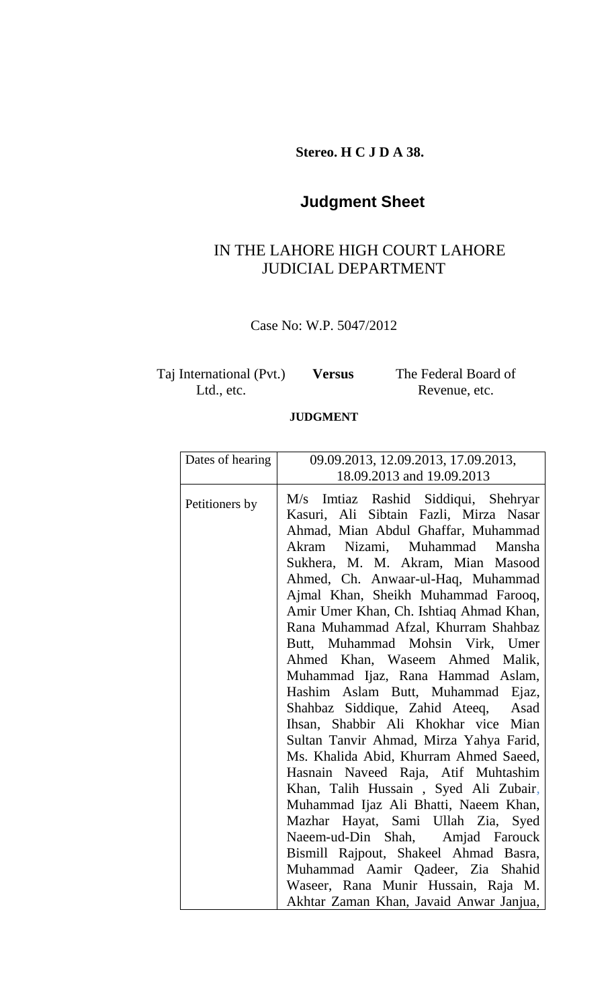**Stereo. H C J D A 38.**

## **Judgment Sheet**

### IN THE LAHORE HIGH COURT LAHORE JUDICIAL DEPARTMENT

Case No: W.P. 5047/2012

| Taj International (Pvt.) | <b>Versus</b> | The Federal Board of |
|--------------------------|---------------|----------------------|
| Ltd., etc.               |               | Revenue, etc.        |

#### **JUDGMENT**

| Dates of hearing | 09.09.2013, 12.09.2013, 17.09.2013,     |  |
|------------------|-----------------------------------------|--|
|                  | 18.09.2013 and 19.09.2013               |  |
| Petitioners by   | M/s Imtiaz Rashid Siddiqui, Shehryar    |  |
|                  | Kasuri, Ali Sibtain Fazli, Mirza Nasar  |  |
|                  | Ahmad, Mian Abdul Ghaffar, Muhammad     |  |
|                  | Akram Nizami, Muhammad Mansha           |  |
|                  | Sukhera, M. M. Akram, Mian Masood       |  |
|                  | Ahmed, Ch. Anwaar-ul-Haq, Muhammad      |  |
|                  | Ajmal Khan, Sheikh Muhammad Farooq,     |  |
|                  | Amir Umer Khan, Ch. Ishtiaq Ahmad Khan, |  |
|                  | Rana Muhammad Afzal, Khurram Shahbaz    |  |
|                  | Butt, Muhammad Mohsin Virk, Umer        |  |
|                  | Ahmed Khan, Waseem Ahmed Malik,         |  |
|                  | Muhammad Ijaz, Rana Hammad Aslam,       |  |
|                  | Hashim Aslam Butt, Muhammad Ejaz,       |  |
|                  | Shahbaz Siddique, Zahid Ateeq, Asad     |  |
|                  | Ihsan, Shabbir Ali Khokhar vice Mian    |  |
|                  | Sultan Tanvir Ahmad, Mirza Yahya Farid, |  |
|                  | Ms. Khalida Abid, Khurram Ahmed Saeed,  |  |
|                  | Hasnain Naveed Raja, Atif Muhtashim     |  |
|                  | Khan, Talih Hussain, Syed Ali Zubair,   |  |
|                  | Muhammad Ijaz Ali Bhatti, Naeem Khan,   |  |
|                  | Mazhar Hayat, Sami Ullah Zia, Syed      |  |
|                  | Naeem-ud-Din Shah, Amjad Farouck        |  |
|                  | Bismill Rajpout, Shakeel Ahmad Basra,   |  |
|                  | Muhammad Aamir Qadeer, Zia Shahid       |  |
|                  | Waseer, Rana Munir Hussain, Raja M.     |  |
|                  | Akhtar Zaman Khan, Javaid Anwar Janjua, |  |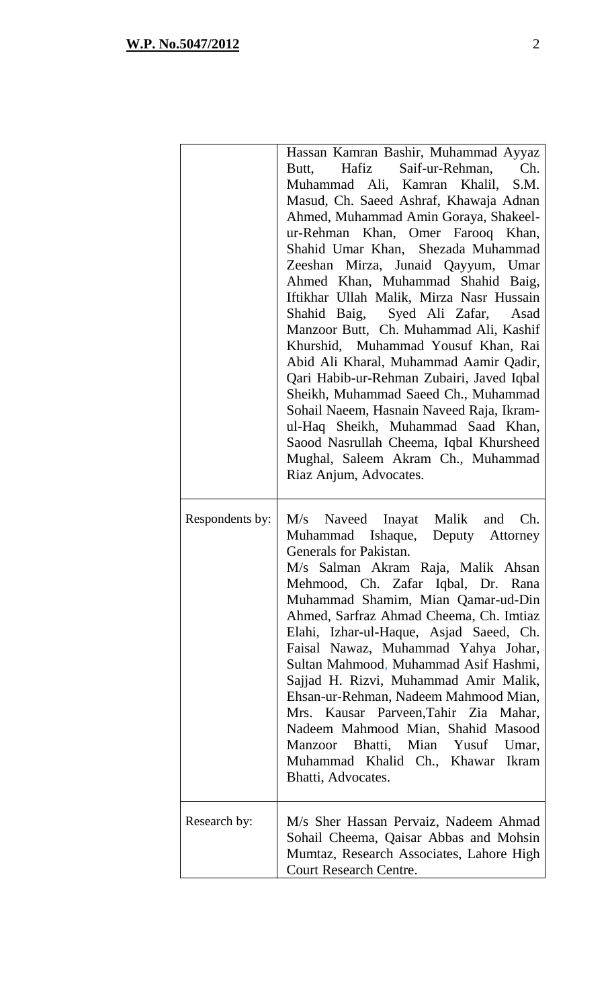|                 | Hassan Kamran Bashir, Muhammad Ayyaz<br>Butt, Hafiz Saif-ur-Rehman, Ch.<br>Muhammad Ali, Kamran Khalil, S.M.<br>Masud, Ch. Saeed Ashraf, Khawaja Adnan<br>Ahmed, Muhammad Amin Goraya, Shakeel-<br>ur-Rehman Khan, Omer Farooq Khan,<br>Shahid Umar Khan, Shezada Muhammad<br>Zeeshan Mirza, Junaid Qayyum, Umar<br>Ahmed Khan, Muhammad Shahid Baig,<br>Iftikhar Ullah Malik, Mirza Nasr Hussain<br>Shahid Baig, Syed Ali Zafar, Asad<br>Manzoor Butt, Ch. Muhammad Ali, Kashif<br>Khurshid, Muhammad Yousuf Khan, Rai<br>Abid Ali Kharal, Muhammad Aamir Qadir,<br>Qari Habib-ur-Rehman Zubairi, Javed Iqbal<br>Sheikh, Muhammad Saeed Ch., Muhammad<br>Sohail Naeem, Hasnain Naveed Raja, Ikram-<br>ul-Haq Sheikh, Muhammad Saad Khan,<br>Saood Nasrullah Cheema, Iqbal Khursheed<br>Mughal, Saleem Akram Ch., Muhammad<br>Riaz Anjum, Advocates. |
|-----------------|------------------------------------------------------------------------------------------------------------------------------------------------------------------------------------------------------------------------------------------------------------------------------------------------------------------------------------------------------------------------------------------------------------------------------------------------------------------------------------------------------------------------------------------------------------------------------------------------------------------------------------------------------------------------------------------------------------------------------------------------------------------------------------------------------------------------------------------------------|
| Respondents by: | M/s Naveed Inayat Malik and Ch.<br>Muhammad Ishaque, Deputy Attorney<br>Generals for Pakistan.<br>M/s Salman Akram Raja, Malik Ahsan<br>Mehmood, Ch. Zafar Iqbal, Dr. Rana<br>Muhammad Shamim, Mian Qamar-ud-Din<br>Ahmed, Sarfraz Ahmad Cheema, Ch. Imtiaz<br>Elahi, Izhar-ul-Haque, Asjad Saeed, Ch.<br>Faisal Nawaz, Muhammad Yahya Johar,<br>Sultan Mahmood, Muhammad Asif Hashmi,<br>Sajjad H. Rizvi, Muhammad Amir Malik,<br>Ehsan-ur-Rehman, Nadeem Mahmood Mian,<br>Mrs. Kausar Parveen, Tahir Zia Mahar,<br>Nadeem Mahmood Mian, Shahid Masood<br>Manzoor Bhatti, Mian Yusuf Umar,<br>Muhammad Khalid Ch., Khawar Ikram<br>Bhatti, Advocates.                                                                                                                                                                                               |
| Research by:    | M/s Sher Hassan Pervaiz, Nadeem Ahmad<br>Sohail Cheema, Qaisar Abbas and Mohsin<br>Mumtaz, Research Associates, Lahore High<br><b>Court Research Centre.</b>                                                                                                                                                                                                                                                                                                                                                                                                                                                                                                                                                                                                                                                                                         |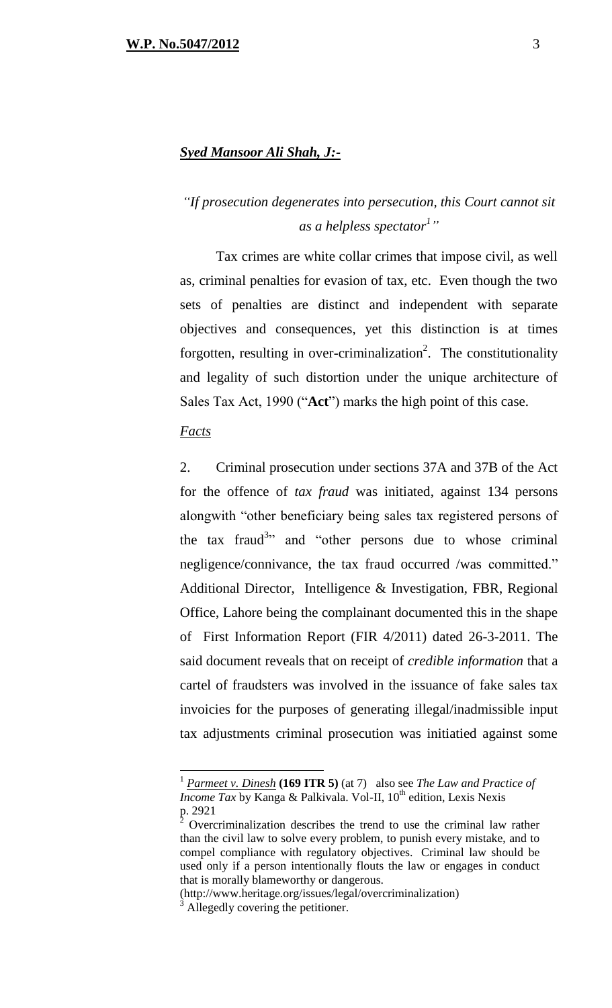#### *Syed Mansoor Ali Shah, J:-*

## *"If prosecution degenerates into persecution, this Court cannot sit as a helpless spectator<sup>1</sup> "*

Tax crimes are white collar crimes that impose civil, as well as, criminal penalties for evasion of tax, etc. Even though the two sets of penalties are distinct and independent with separate objectives and consequences, yet this distinction is at times forgotten, resulting in over-criminalization<sup>2</sup>. The constitutionality and legality of such distortion under the unique architecture of Sales Tax Act, 1990 ("**Act**") marks the high point of this case.

#### *Facts*

 $\overline{a}$ 

2. Criminal prosecution under sections 37A and 37B of the Act for the offence of *tax fraud* was initiated, against 134 persons alongwith "other beneficiary being sales tax registered persons of the tax fraud<sup>3</sup> and "other persons due to whose criminal negligence/connivance, the tax fraud occurred /was committed." Additional Director, Intelligence & Investigation, FBR, Regional Office, Lahore being the complainant documented this in the shape of First Information Report (FIR 4/2011) dated 26-3-2011. The said document reveals that on receipt of *credible information* that a cartel of fraudsters was involved in the issuance of fake sales tax invoicies for the purposes of generating illegal/inadmissible input tax adjustments criminal prosecution was initiatied against some

<sup>1</sup> *Parmeet v. Dinesh* **(169 ITR 5)** (at 7) also see *The Law and Practice of Income Tax* by Kanga & Palkivala. Vol-II, 10<sup>th</sup> edition, Lexis Nexis  $p. 2921$ 

<sup>2</sup> Overcriminalization describes the trend to use the criminal law rather than the civil law to solve every problem, to punish every mistake, and to compel compliance with regulatory objectives. Criminal law should be used only if a person intentionally flouts the law or engages in conduct that is morally blameworthy or dangerous.

<sup>(</sup>http://www.heritage.org/issues/legal/overcriminalization)

Allegedly covering the petitioner.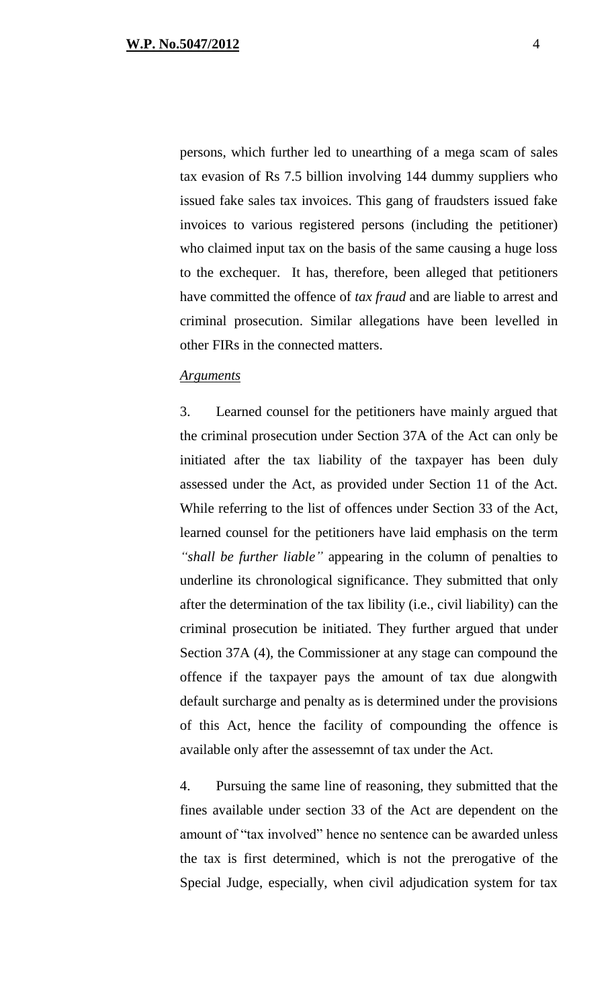persons, which further led to unearthing of a mega scam of sales tax evasion of Rs 7.5 billion involving 144 dummy suppliers who issued fake sales tax invoices. This gang of fraudsters issued fake invoices to various registered persons (including the petitioner) who claimed input tax on the basis of the same causing a huge loss to the exchequer. It has, therefore, been alleged that petitioners have committed the offence of *tax fraud* and are liable to arrest and criminal prosecution. Similar allegations have been levelled in other FIRs in the connected matters.

#### *Arguments*

3. Learned counsel for the petitioners have mainly argued that the criminal prosecution under Section 37A of the Act can only be initiated after the tax liability of the taxpayer has been duly assessed under the Act, as provided under Section 11 of the Act. While referring to the list of offences under Section 33 of the Act, learned counsel for the petitioners have laid emphasis on the term *"shall be further liable"* appearing in the column of penalties to underline its chronological significance. They submitted that only after the determination of the tax libility (i.e., civil liability) can the criminal prosecution be initiated. They further argued that under Section 37A (4), the Commissioner at any stage can compound the offence if the taxpayer pays the amount of tax due alongwith default surcharge and penalty as is determined under the provisions of this Act, hence the facility of compounding the offence is available only after the assessemnt of tax under the Act.

4. Pursuing the same line of reasoning, they submitted that the fines available under section 33 of the Act are dependent on the amount of "tax involved" hence no sentence can be awarded unless the tax is first determined, which is not the prerogative of the Special Judge, especially, when civil adjudication system for tax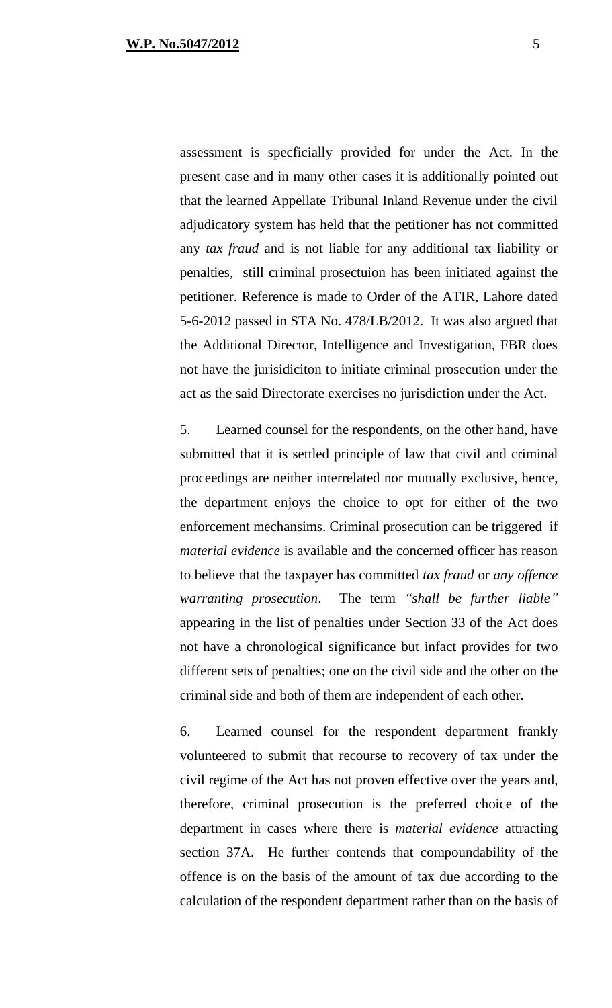assessment is specficially provided for under the Act. In the present case and in many other cases it is additionally pointed out that the learned Appellate Tribunal Inland Revenue under the civil adjudicatory system has held that the petitioner has not committed any *tax fraud* and is not liable for any additional tax liability or penalties, still criminal prosectuion has been initiated against the petitioner. Reference is made to Order of the ATIR, Lahore dated 5-6-2012 passed in STA No. 478/LB/2012. It was also argued that the Additional Director, Intelligence and Investigation, FBR does not have the jurisidiciton to initiate criminal prosecution under the act as the said Directorate exercises no jurisdiction under the Act.

5. Learned counsel for the respondents, on the other hand, have submitted that it is settled principle of law that civil and criminal proceedings are neither interrelated nor mutually exclusive, hence, the department enjoys the choice to opt for either of the two enforcement mechansims. Criminal prosecution can be triggered if *material evidence* is available and the concerned officer has reason to believe that the taxpayer has committed *tax fraud* or *any offence warranting prosecution*. The term *"shall be further liable"* appearing in the list of penalties under Section 33 of the Act does not have a chronological significance but infact provides for two different sets of penalties; one on the civil side and the other on the criminal side and both of them are independent of each other.

6. Learned counsel for the respondent department frankly volunteered to submit that recourse to recovery of tax under the civil regime of the Act has not proven effective over the years and, therefore, criminal prosecution is the preferred choice of the department in cases where there is *material evidence* attracting section 37A. He further contends that compoundability of the offence is on the basis of the amount of tax due according to the calculation of the respondent department rather than on the basis of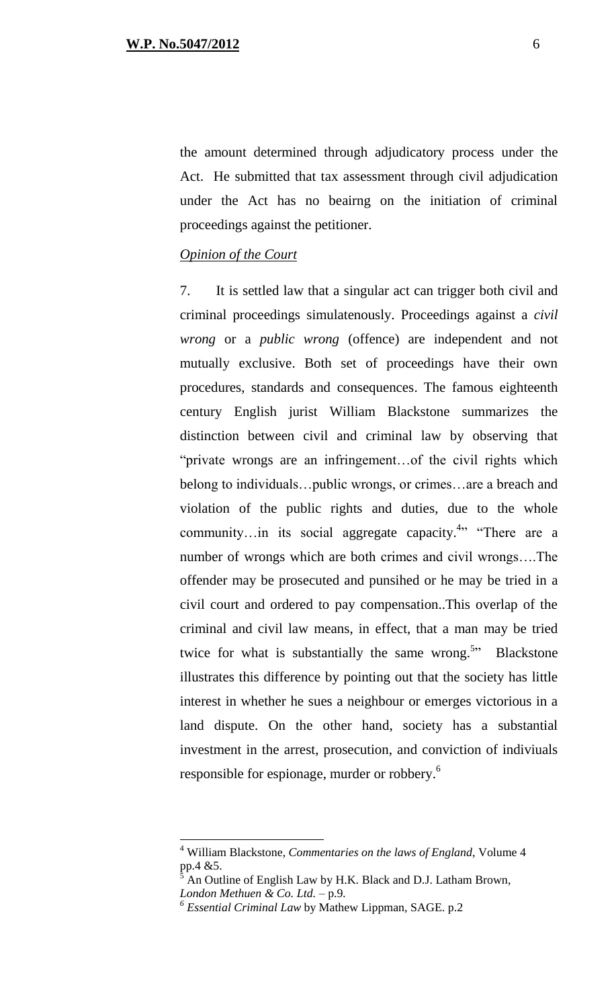the amount determined through adjudicatory process under the Act. He submitted that tax assessment through civil adjudication under the Act has no beairng on the initiation of criminal proceedings against the petitioner.

#### *Opinion of the Court*

7. It is settled law that a singular act can trigger both civil and criminal proceedings simulatenously. Proceedings against a *civil wrong* or a *public wrong* (offence) are independent and not mutually exclusive. Both set of proceedings have their own procedures, standards and consequences. The famous eighteenth century English jurist William Blackstone summarizes the distinction between civil and criminal law by observing that "private wrongs are an infringement…of the civil rights which belong to individuals…public wrongs, or crimes…are a breach and violation of the public rights and duties, due to the whole community...in its social aggregate capacity.<sup>4</sup>" "There are a number of wrongs which are both crimes and civil wrongs….The offender may be prosecuted and punsihed or he may be tried in a civil court and ordered to pay compensation..This overlap of the criminal and civil law means, in effect, that a man may be tried twice for what is substantially the same wrong.<sup>5</sup><sup>2</sup> Blackstone illustrates this difference by pointing out that the society has little interest in whether he sues a neighbour or emerges victorious in a land dispute. On the other hand, society has a substantial investment in the arrest, prosecution, and conviction of indiviuals responsible for espionage, murder or robbery.<sup>6</sup>

 $\overline{a}$ 

<sup>4</sup> William Blackstone, *Commentaries on the laws of England*, Volume 4 pp.4 &5.

<sup>5</sup> An Outline of English Law by H.K. Black and D.J. Latham Brown, *London Methuen & Co. Ltd.* – p.9*.*

*<sup>6</sup> Essential Criminal Law* by Mathew Lippman, SAGE. p.2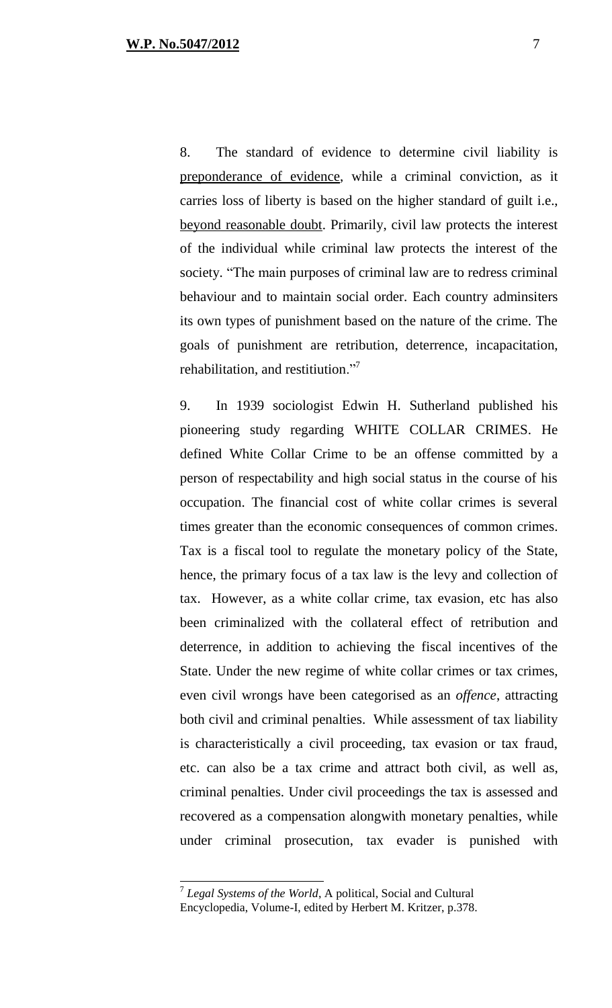8. The standard of evidence to determine civil liability is preponderance of evidence, while a criminal conviction, as it carries loss of liberty is based on the higher standard of guilt i.e., beyond reasonable doubt. Primarily, civil law protects the interest of the individual while criminal law protects the interest of the society. "The main purposes of criminal law are to redress criminal behaviour and to maintain social order. Each country adminsiters its own types of punishment based on the nature of the crime. The goals of punishment are retribution, deterrence, incapacitation, rehabilitation, and restitiution."<sup>7</sup>

9. In 1939 sociologist Edwin H. Sutherland published his pioneering study regarding WHITE COLLAR CRIMES. He defined White Collar Crime to be an offense committed by a person of respectability and high social status in the course of his occupation. The financial cost of white collar crimes is several times greater than the economic consequences of common crimes. Tax is a fiscal tool to regulate the monetary policy of the State, hence, the primary focus of a tax law is the levy and collection of tax. However, as a white collar crime, tax evasion, etc has also been criminalized with the collateral effect of retribution and deterrence, in addition to achieving the fiscal incentives of the State. Under the new regime of white collar crimes or tax crimes, even civil wrongs have been categorised as an *offence*, attracting both civil and criminal penalties. While assessment of tax liability is characteristically a civil proceeding, tax evasion or tax fraud, etc. can also be a tax crime and attract both civil, as well as, criminal penalties. Under civil proceedings the tax is assessed and recovered as a compensation alongwith monetary penalties, while under criminal prosecution, tax evader is punished with

 7 *Legal Systems of the World*, A political, Social and Cultural Encyclopedia, Volume-I, edited by Herbert M. Kritzer, p.378.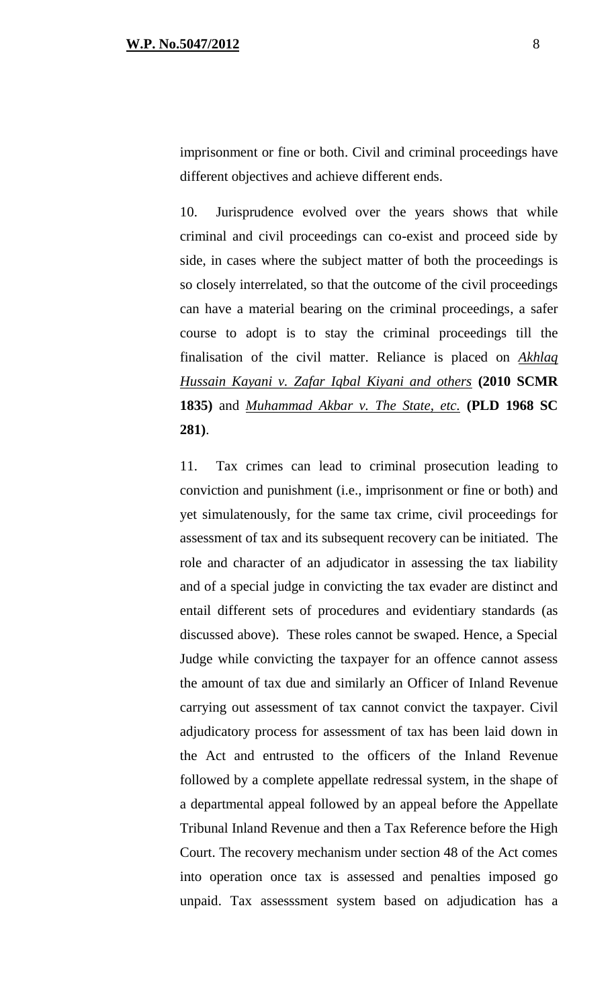imprisonment or fine or both. Civil and criminal proceedings have different objectives and achieve different ends.

10. Jurisprudence evolved over the years shows that while criminal and civil proceedings can co-exist and proceed side by side, in cases where the subject matter of both the proceedings is so closely interrelated, so that the outcome of the civil proceedings can have a material bearing on the criminal proceedings, a safer course to adopt is to stay the criminal proceedings till the finalisation of the civil matter. Reliance is placed on *Akhlaq Hussain Kayani v. Zafar Iqbal Kiyani and others* **(2010 SCMR 1835)** and *Muhammad Akbar v. The State, etc.* **(PLD 1968 SC 281)**.

11. Tax crimes can lead to criminal prosecution leading to conviction and punishment (i.e., imprisonment or fine or both) and yet simulatenously, for the same tax crime, civil proceedings for assessment of tax and its subsequent recovery can be initiated. The role and character of an adjudicator in assessing the tax liability and of a special judge in convicting the tax evader are distinct and entail different sets of procedures and evidentiary standards (as discussed above). These roles cannot be swaped. Hence, a Special Judge while convicting the taxpayer for an offence cannot assess the amount of tax due and similarly an Officer of Inland Revenue carrying out assessment of tax cannot convict the taxpayer. Civil adjudicatory process for assessment of tax has been laid down in the Act and entrusted to the officers of the Inland Revenue followed by a complete appellate redressal system, in the shape of a departmental appeal followed by an appeal before the Appellate Tribunal Inland Revenue and then a Tax Reference before the High Court. The recovery mechanism under section 48 of the Act comes into operation once tax is assessed and penalties imposed go unpaid. Tax assesssment system based on adjudication has a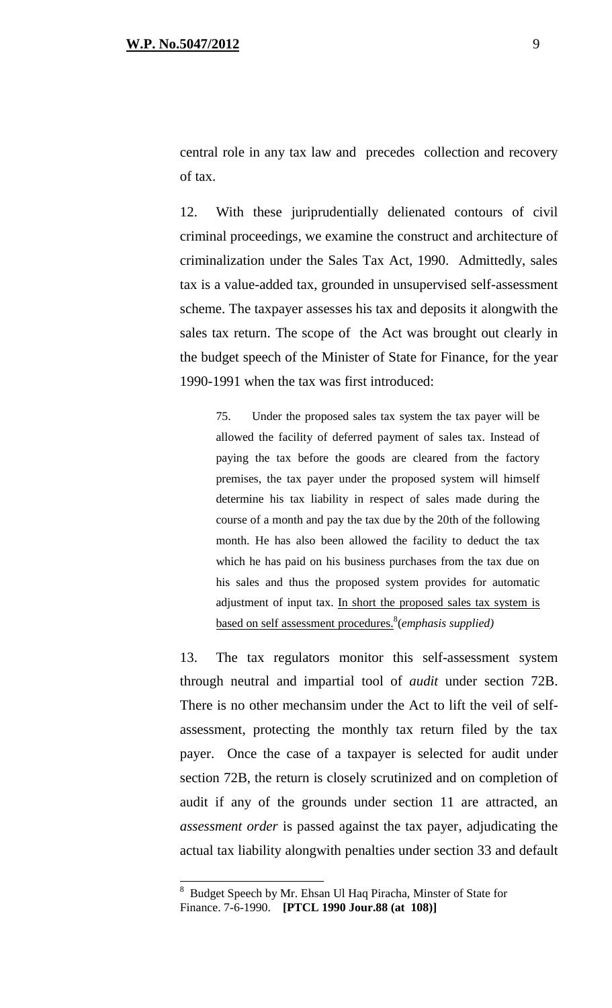central role in any tax law and precedes collection and recovery of tax.

12. With these juriprudentially delienated contours of civil criminal proceedings, we examine the construct and architecture of criminalization under the Sales Tax Act, 1990. Admittedly, sales tax is a value-added tax, grounded in unsupervised self-assessment scheme. The taxpayer assesses his tax and deposits it alongwith the sales tax return. The scope of the Act was brought out clearly in the budget speech of the Minister of State for Finance, for the year 1990-1991 when the tax was first introduced:

75. Under the proposed sales tax system the tax payer will be allowed the facility of deferred payment of sales tax. Instead of paying the tax before the goods are cleared from the factory premises, the tax payer under the proposed system will himself determine his tax liability in respect of sales made during the course of a month and pay the tax due by the 20th of the following month. He has also been allowed the facility to deduct the tax which he has paid on his business purchases from the tax due on his sales and thus the proposed system provides for automatic adjustment of input tax. In short the proposed sales tax system is based on self assessment procedures. 8 (*emphasis supplied)* 

13. The tax regulators monitor this self-assessment system through neutral and impartial tool of *audit* under section 72B. There is no other mechansim under the Act to lift the veil of selfassessment, protecting the monthly tax return filed by the tax payer. Once the case of a taxpayer is selected for audit under section 72B, the return is closely scrutinized and on completion of audit if any of the grounds under section 11 are attracted, an *assessment order* is passed against the tax payer, adjudicating the actual tax liability alongwith penalties under section 33 and default

 $\overline{a}$ 

<sup>&</sup>lt;sup>8</sup> Budget Speech by Mr. Ehsan Ul Haq Piracha, Minster of State for Finance. 7-6-1990. **[PTCL 1990 Jour.88 (at 108)]**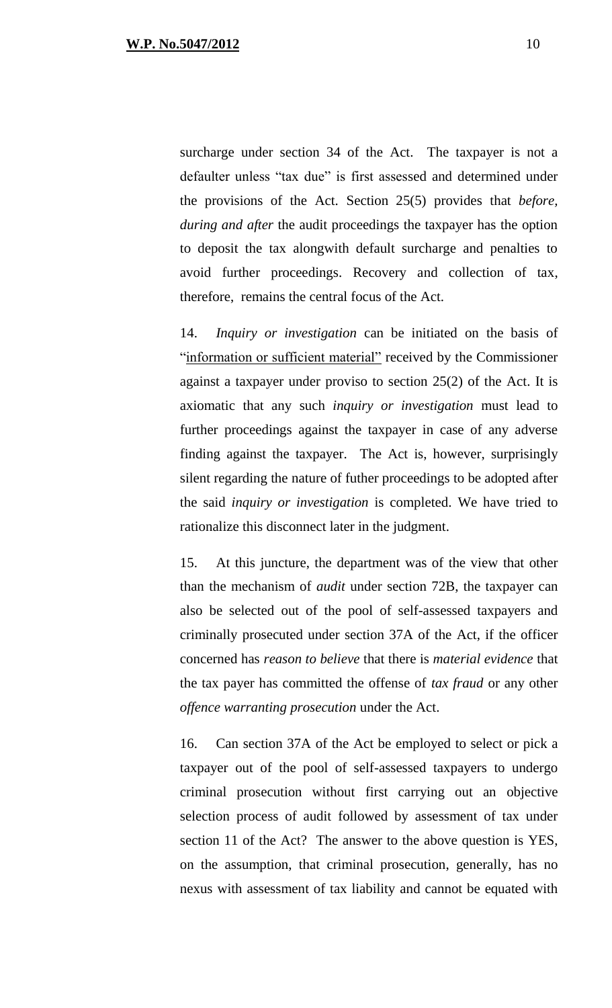surcharge under section 34 of the Act. The taxpayer is not a defaulter unless "tax due" is first assessed and determined under the provisions of the Act. Section 25(5) provides that *before, during and after* the audit proceedings the taxpayer has the option to deposit the tax alongwith default surcharge and penalties to avoid further proceedings. Recovery and collection of tax, therefore, remains the central focus of the Act.

14. *Inquiry or investigation* can be initiated on the basis of "information or sufficient material" received by the Commissioner against a taxpayer under proviso to section 25(2) of the Act. It is axiomatic that any such *inquiry or investigation* must lead to further proceedings against the taxpayer in case of any adverse finding against the taxpayer. The Act is, however, surprisingly silent regarding the nature of futher proceedings to be adopted after the said *inquiry or investigation* is completed. We have tried to rationalize this disconnect later in the judgment.

15. At this juncture, the department was of the view that other than the mechanism of *audit* under section 72B, the taxpayer can also be selected out of the pool of self-assessed taxpayers and criminally prosecuted under section 37A of the Act, if the officer concerned has *reason to believe* that there is *material evidence* that the tax payer has committed the offense of *tax fraud* or any other *offence warranting prosecution* under the Act.

16. Can section 37A of the Act be employed to select or pick a taxpayer out of the pool of self-assessed taxpayers to undergo criminal prosecution without first carrying out an objective selection process of audit followed by assessment of tax under section 11 of the Act? The answer to the above question is YES, on the assumption, that criminal prosecution, generally, has no nexus with assessment of tax liability and cannot be equated with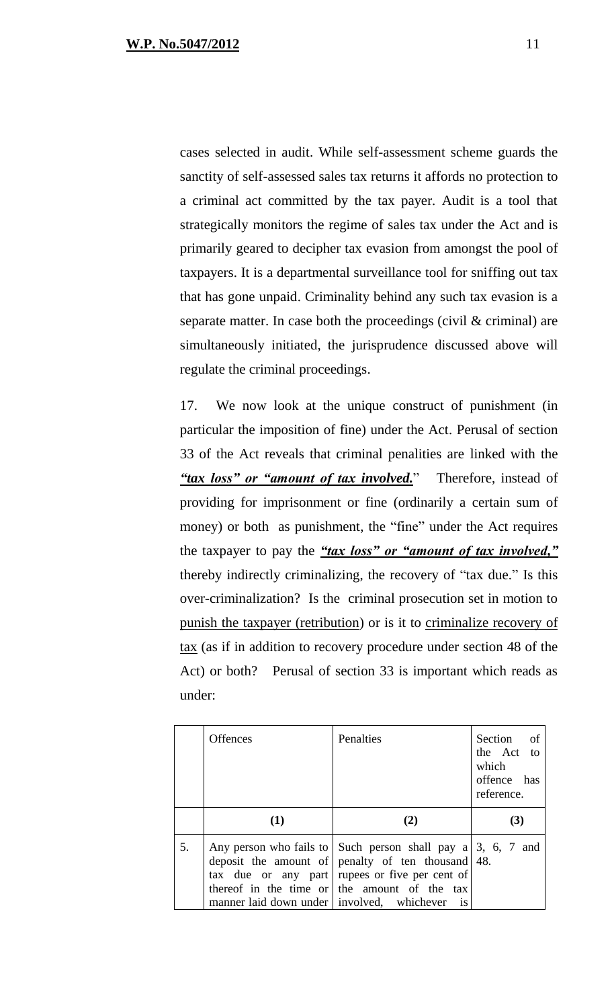cases selected in audit. While self-assessment scheme guards the sanctity of self-assessed sales tax returns it affords no protection to a criminal act committed by the tax payer. Audit is a tool that strategically monitors the regime of sales tax under the Act and is primarily geared to decipher tax evasion from amongst the pool of taxpayers. It is a departmental surveillance tool for sniffing out tax that has gone unpaid. Criminality behind any such tax evasion is a separate matter. In case both the proceedings (civil & criminal) are simultaneously initiated, the jurisprudence discussed above will regulate the criminal proceedings.

17. We now look at the unique construct of punishment (in particular the imposition of fine) under the Act. Perusal of section 33 of the Act reveals that criminal penalities are linked with the *"tax loss" or "amount of tax involved.*" Therefore, instead of providing for imprisonment or fine (ordinarily a certain sum of money) or both as punishment, the "fine" under the Act requires the taxpayer to pay the *"tax loss" or "amount of tax involved,"* thereby indirectly criminalizing, the recovery of "tax due." Is this over-criminalization? Is the criminal prosecution set in motion to punish the taxpayer (retribution) or is it to criminalize recovery of tax (as if in addition to recovery procedure under section 48 of the Act) or both? Perusal of section 33 is important which reads as under:

|    | <b>Offences</b>                              | Penalties                                                                                                                                                                                                                                              | Section of<br>the Act to<br>which<br>offence has<br>reference. |
|----|----------------------------------------------|--------------------------------------------------------------------------------------------------------------------------------------------------------------------------------------------------------------------------------------------------------|----------------------------------------------------------------|
|    | (1)                                          |                                                                                                                                                                                                                                                        | (3)                                                            |
| 5. | manner laid down under   involved, whichever | Any person who fails to $\vert$ Such person shall pay a $\vert$ 3, 6, 7 and<br>deposit the amount of penalty of ten thousand 48.<br>tax due or any part   rupees or five per cent of<br>thereof in the time or the amount of the tax<br>$\overline{1}$ |                                                                |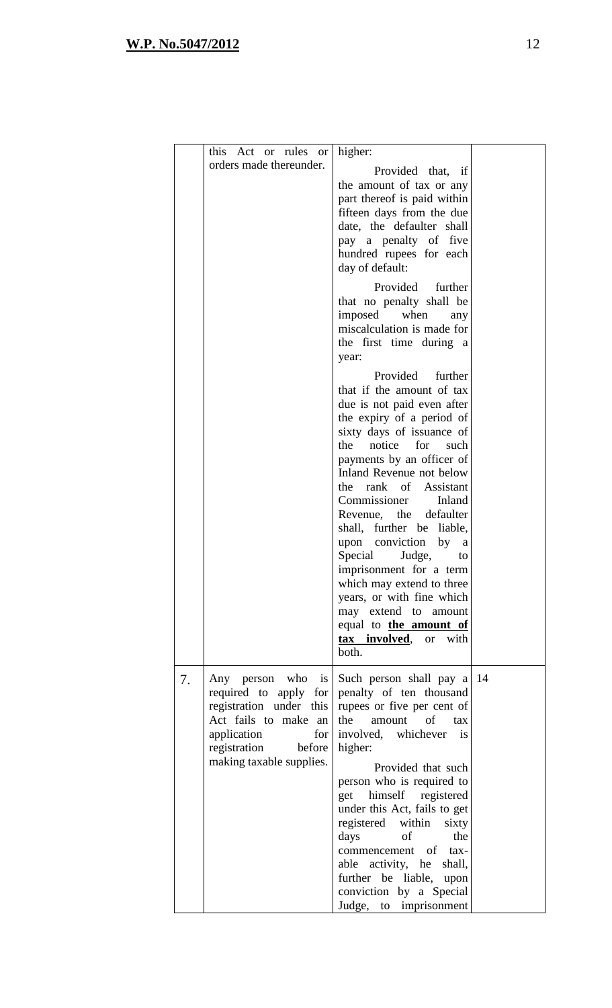|    | this Act or rules or<br>orders made thereunder.                                                                                                                              | higher:<br>Provided that, if<br>the amount of tax or any<br>part thereof is paid within<br>fifteen days from the due<br>date, the defaulter shall<br>pay a penalty of five<br>hundred rupees for each<br>day of default:<br>Provided<br>further<br>that no penalty shall be<br>imposed<br>when<br>any<br>miscalculation is made for<br>the first time during a<br>year:                                                                                                                                                                                                                         |  |
|----|------------------------------------------------------------------------------------------------------------------------------------------------------------------------------|-------------------------------------------------------------------------------------------------------------------------------------------------------------------------------------------------------------------------------------------------------------------------------------------------------------------------------------------------------------------------------------------------------------------------------------------------------------------------------------------------------------------------------------------------------------------------------------------------|--|
|    |                                                                                                                                                                              | Provided<br>further<br>that if the amount of tax<br>due is not paid even after<br>the expiry of a period of<br>sixty days of issuance of<br>the<br>notice for<br>such<br>payments by an officer of<br>Inland Revenue not below<br>the rank of Assistant<br>Commissioner<br>Inland<br>Revenue, the defaulter<br>shall, further be liable,<br>upon conviction<br>by<br><sub>a</sub><br>Special<br>Judge,<br>to<br>imprisonment for a term<br>which may extend to three<br>years, or with fine which<br>may extend to amount<br>equal to <b>the amount of</b><br>tax involved,<br>or with<br>both. |  |
| 7. | Any person who<br>is<br>required to apply for<br>registration under this<br>Act fails to make an<br>application<br>for<br>registration<br>before<br>making taxable supplies. | Such person shall pay a 14<br>penalty of ten thousand<br>rupees or five per cent of<br>the<br>amount of<br>tax<br>involved, whichever<br>is<br>higher:<br>Provided that such<br>person who is required to<br>get himself registered<br>under this Act, fails to get<br>registered within<br>sixty<br>days<br>of<br>the<br>commencement of tax-<br>able activity, he<br>shall,<br>further be liable,<br>upon<br>conviction by a Special<br>Judge, to imprisonment                                                                                                                                |  |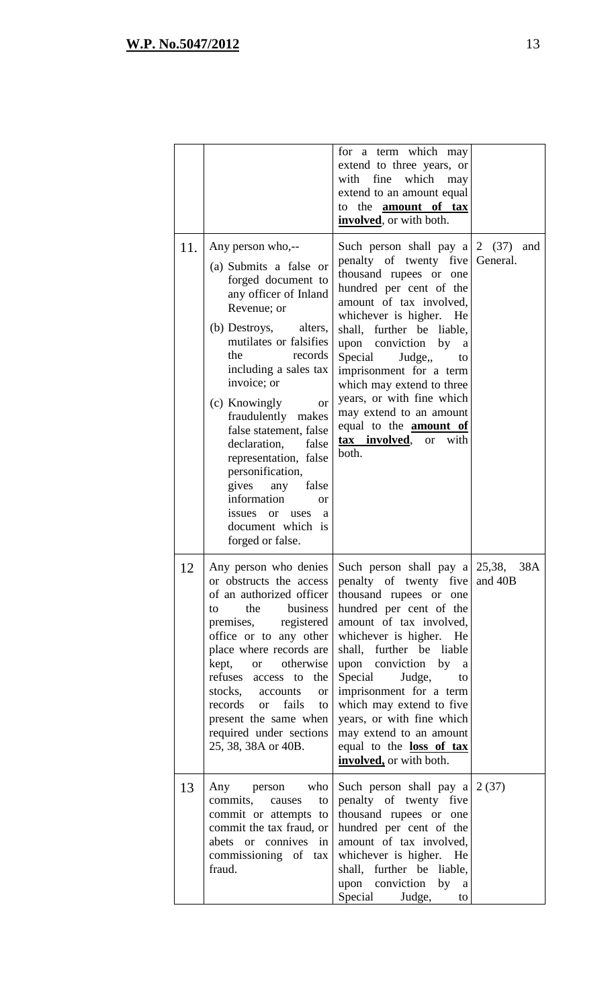|     |                                                                                                                                                                                                                                                                                                                                                                                                                                                                                                                        | for a term which may<br>extend to three years, or<br>with<br>fine<br>which<br>may<br>extend to an amount equal<br>to the amount of tax<br>involved, or with both.                                                                                                                                                                                                                                                                                                                          |     |
|-----|------------------------------------------------------------------------------------------------------------------------------------------------------------------------------------------------------------------------------------------------------------------------------------------------------------------------------------------------------------------------------------------------------------------------------------------------------------------------------------------------------------------------|--------------------------------------------------------------------------------------------------------------------------------------------------------------------------------------------------------------------------------------------------------------------------------------------------------------------------------------------------------------------------------------------------------------------------------------------------------------------------------------------|-----|
| 11. | Any person who,--<br>(a) Submits a false or<br>forged document to<br>any officer of Inland<br>Revenue; or<br>(b) Destroys,<br>alters,<br>mutilates or falsifies<br>the<br>records<br>including a sales tax<br>invoice; or<br>(c) Knowingly<br><b>or</b><br>fraudulently<br>makes<br>false statement, false<br>declaration,<br>false<br>representation, false<br>personification,<br>gives<br>any<br>false<br>information<br><sub>or</sub><br>issues<br><b>or</b><br>uses<br>a<br>document which is<br>forged or false. | Such person shall pay $a \mid 2 \quad (37)$<br>penalty of twenty five General.<br>thousand rupees or one<br>hundred per cent of the<br>amount of tax involved,<br>whichever is higher.<br>He<br>shall, further be liable,<br>upon conviction by<br><sub>a</sub><br>Special<br>Judge,<br>to<br>imprisonment for a term<br>which may extend to three<br>years, or with fine which<br>may extend to an amount<br>equal to the <b>amount</b> of<br>tax involved,<br>with<br><b>or</b><br>both. | and |
| 12  | Any person who denies<br>or obstructs the access<br>of an authorized officer<br>business<br>the<br>to<br>registered<br>premises,<br>office or to any other<br>place where records are<br>kept,<br>otherwise<br><b>or</b><br>refuses<br>access to the<br>stocks, accounts<br><b>or</b><br>fails<br>records<br><b>or</b><br>to<br>present the same when<br>required under sections<br>25, 38, 38A or 40B.                                                                                                                | Such person shall pay $a \mid 25,38$ ,<br>penalty of twenty five and 40B<br>thousand rupees or one<br>hundred per cent of the<br>amount of tax involved,<br>whichever is higher. He<br>shall, further be liable<br>upon conviction<br>by<br><sub>a</sub><br>Special<br>Judge,<br>to<br>imprisonment for a term<br>which may extend to five<br>years, or with fine which<br>may extend to an amount<br>equal to the loss of tax<br>involved, or with both.                                  | 38A |
| 13  | who<br>Any<br>person<br>commits,<br>causes<br>to<br>commit or attempts to<br>commit the tax fraud, or<br>abets or connives in<br>commissioning of tax<br>fraud.                                                                                                                                                                                                                                                                                                                                                        | Such person shall pay $a \mid 2 \cdot (37)$<br>penalty of twenty five<br>thousand rupees or one<br>hundred per cent of the<br>amount of tax involved,<br>whichever is higher.<br>He<br>shall, further be liable,<br>upon conviction<br>by a<br>Special<br>Judge,<br>to                                                                                                                                                                                                                     |     |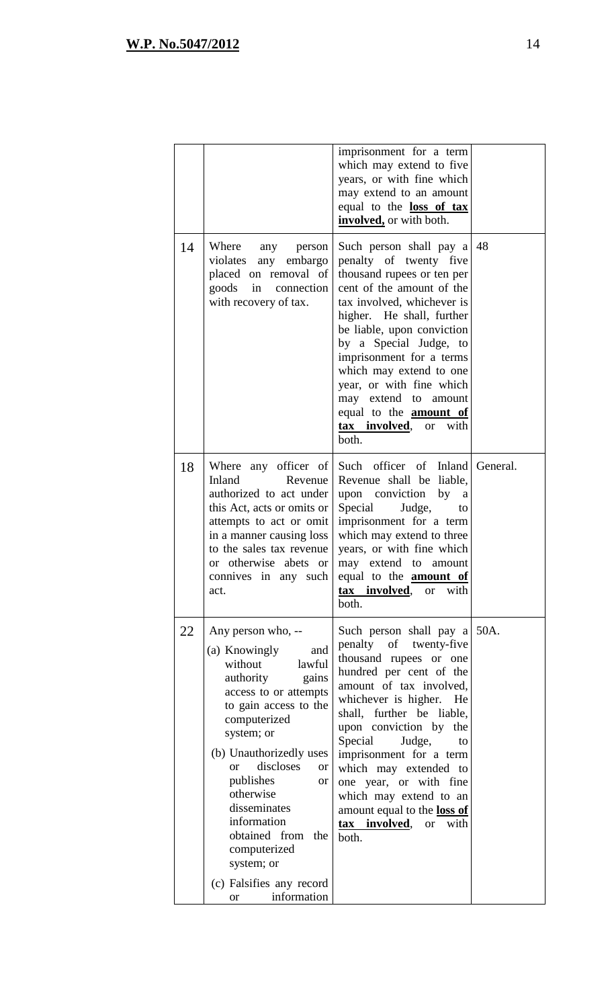|    |                                                                                                                                                                                                                                                                                                                                                                                                                      | imprisonment for a term<br>which may extend to five<br>years, or with fine which<br>may extend to an amount<br>equal to the <b>loss of tax</b><br>involved, or with both.                                                                                                                                                                                                                                                                           |          |
|----|----------------------------------------------------------------------------------------------------------------------------------------------------------------------------------------------------------------------------------------------------------------------------------------------------------------------------------------------------------------------------------------------------------------------|-----------------------------------------------------------------------------------------------------------------------------------------------------------------------------------------------------------------------------------------------------------------------------------------------------------------------------------------------------------------------------------------------------------------------------------------------------|----------|
| 14 | Where<br>any person<br>violates any embargo<br>placed on removal of<br>goods in connection<br>with recovery of tax.                                                                                                                                                                                                                                                                                                  | Such person shall pay a<br>penalty of twenty five<br>thousand rupees or ten per<br>cent of the amount of the<br>tax involved, whichever is<br>higher. He shall, further<br>be liable, upon conviction<br>by a Special Judge, to<br>imprisonment for a terms<br>which may extend to one<br>year, or with fine which<br>may extend to amount<br>equal to the <b>amount</b> of<br>tax_involved,<br>or with<br>both.                                    | 48       |
| 18 | Where any officer of<br>Inland<br>Revenue<br>authorized to act under<br>this Act, acts or omits or<br>attempts to act or omit<br>in a manner causing loss<br>to the sales tax revenue<br>or otherwise abets or<br>connives in any such<br>act.                                                                                                                                                                       | Such officer of Inland<br>Revenue shall be liable,<br>upon conviction by a<br>Special<br>Judge,<br>to<br>imprisonment for a term<br>which may extend to three<br>years, or with fine which<br>may extend to<br>amount<br>equal to the <b>amount</b> of<br>with<br>tax involved, or<br>both.                                                                                                                                                         | General. |
| 22 | Any person who, --<br>(a) Knowingly<br>and<br>without<br>lawful<br>authority<br>gains<br>access to or attempts<br>to gain access to the<br>computerized<br>system; or<br>(b) Unauthorizedly uses<br>discloses<br><b>or</b><br><b>or</b><br>publishes<br><b>or</b><br>otherwise<br>disseminates<br>information<br>obtained from<br>the<br>computerized<br>system; or<br>(c) Falsifies any record<br>information<br>or | Such person shall pay a 50A.<br>penalty<br>of twenty-five<br>thousand rupees or one<br>hundred per cent of the<br>amount of tax involved,<br>whichever is higher.<br>He<br>shall, further be liable,<br>upon conviction by the<br>Special<br>Judge,<br>to<br>imprisonment for a term<br>which may extended to<br>one year, or with fine<br>which may extend to an<br>amount equal to the loss of<br>tax involved,<br><sub>or</sub><br>with<br>both. |          |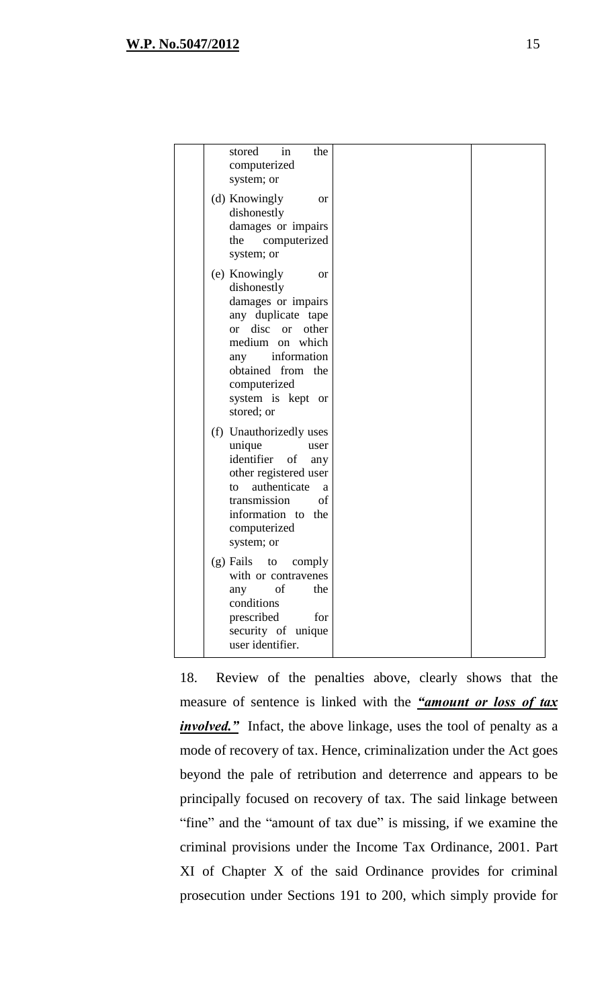| in<br>the<br>stored<br>computerized<br>system; or                                                                                                                                                                                               |  |
|-------------------------------------------------------------------------------------------------------------------------------------------------------------------------------------------------------------------------------------------------|--|
| (d) Knowingly<br><sub>or</sub><br>dishonestly<br>damages or impairs<br>the<br>computerized<br>system; or                                                                                                                                        |  |
| (e) Knowingly<br><sub>or</sub><br>dishonestly<br>damages or impairs<br>any duplicate tape<br>disc or<br>other<br><sub>or</sub><br>medium on which<br>information<br>any<br>obtained from the<br>computerized<br>system is kept or<br>stored; or |  |
| (f) Unauthorizedly uses<br>unique<br>user<br>identifier<br>of<br>any<br>other registered user<br>authenticate<br>to<br>a<br>of<br>transmission<br>information to<br>the<br>computerized<br>system; or                                           |  |
| $(g)$ Fails to<br>comply<br>with or contravenes<br>of<br>the<br>any<br>conditions<br>prescribed<br>for<br>security of unique<br>user identifier.                                                                                                |  |

18. Review of the penalties above, clearly shows that the measure of sentence is linked with the *"amount or loss of tax involved.*" Infact, the above linkage, uses the tool of penalty as a mode of recovery of tax. Hence, criminalization under the Act goes beyond the pale of retribution and deterrence and appears to be principally focused on recovery of tax. The said linkage between "fine" and the "amount of tax due" is missing, if we examine the criminal provisions under the Income Tax Ordinance, 2001. Part XI of Chapter X of the said Ordinance provides for criminal prosecution under Sections 191 to 200, which simply provide for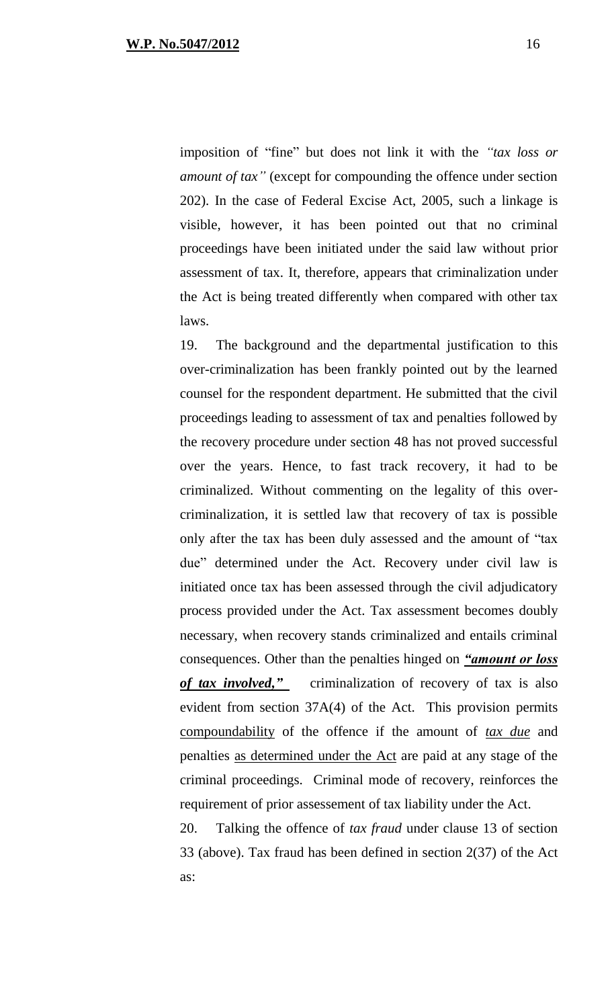imposition of "fine" but does not link it with the *"tax loss or amount of tax"* (except for compounding the offence under section 202). In the case of Federal Excise Act, 2005, such a linkage is visible, however, it has been pointed out that no criminal proceedings have been initiated under the said law without prior assessment of tax. It, therefore, appears that criminalization under the Act is being treated differently when compared with other tax laws.

19. The background and the departmental justification to this over-criminalization has been frankly pointed out by the learned counsel for the respondent department. He submitted that the civil proceedings leading to assessment of tax and penalties followed by the recovery procedure under section 48 has not proved successful over the years. Hence, to fast track recovery, it had to be criminalized. Without commenting on the legality of this overcriminalization, it is settled law that recovery of tax is possible only after the tax has been duly assessed and the amount of "tax due" determined under the Act. Recovery under civil law is initiated once tax has been assessed through the civil adjudicatory process provided under the Act. Tax assessment becomes doubly necessary, when recovery stands criminalized and entails criminal consequences. Other than the penalties hinged on *"amount or loss of tax involved,"* criminalization of recovery of tax is also evident from section 37A(4) of the Act. This provision permits compoundability of the offence if the amount of *tax due* and penalties as determined under the Act are paid at any stage of the criminal proceedings. Criminal mode of recovery, reinforces the requirement of prior assessement of tax liability under the Act.

20. Talking the offence of *tax fraud* under clause 13 of section 33 (above). Tax fraud has been defined in section 2(37) of the Act as: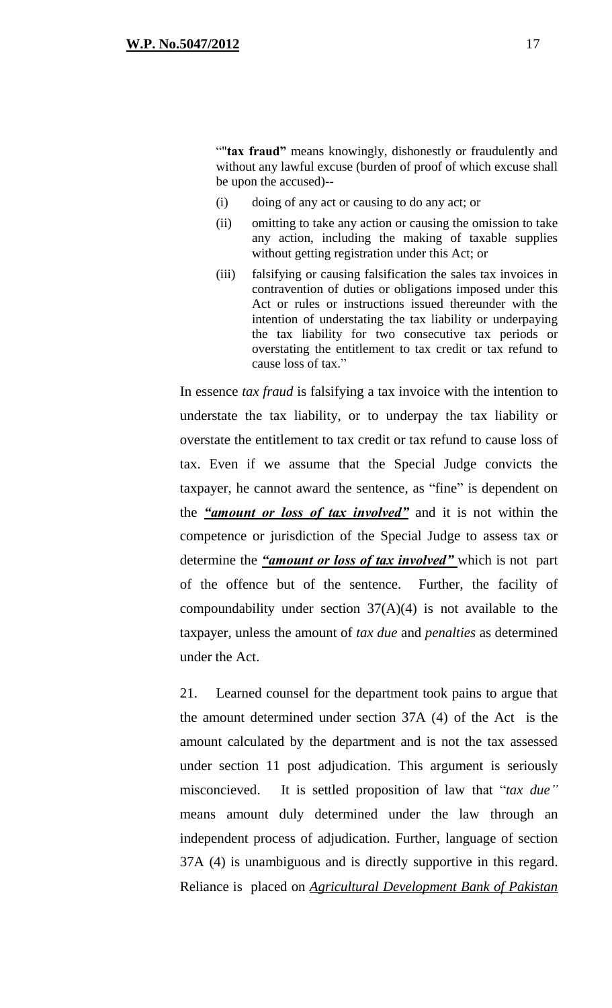""**tax fraud"** means knowingly, dishonestly or fraudulently and without any lawful excuse (burden of proof of which excuse shall be upon the accused)--

- (i) doing of any act or causing to do any act; or
- (ii) omitting to take any action or causing the omission to take any action, including the making of taxable supplies without getting registration under this Act; or
- (iii) falsifying or causing falsification the sales tax invoices in contravention of duties or obligations imposed under this Act or rules or instructions issued thereunder with the intention of understating the tax liability or underpaying the tax liability for two consecutive tax periods or overstating the entitlement to tax credit or tax refund to cause loss of tax."

In essence *tax fraud* is falsifying a tax invoice with the intention to understate the tax liability, or to underpay the tax liability or overstate the entitlement to tax credit or tax refund to cause loss of tax. Even if we assume that the Special Judge convicts the taxpayer, he cannot award the sentence, as "fine" is dependent on the *"amount or loss of tax involved"* and it is not within the competence or jurisdiction of the Special Judge to assess tax or determine the *"amount or loss of tax involved"* which is not part of the offence but of the sentence. Further, the facility of compoundability under section  $37(A)(4)$  is not available to the taxpayer, unless the amount of *tax due* and *penalties* as determined under the Act.

21. Learned counsel for the department took pains to argue that the amount determined under section 37A (4) of the Act is the amount calculated by the department and is not the tax assessed under section 11 post adjudication. This argument is seriously misconcieved. It is settled proposition of law that "*tax due"* means amount duly determined under the law through an independent process of adjudication. Further, language of section 37A (4) is unambiguous and is directly supportive in this regard. Reliance is placed on *Agricultural Development Bank of Pakistan*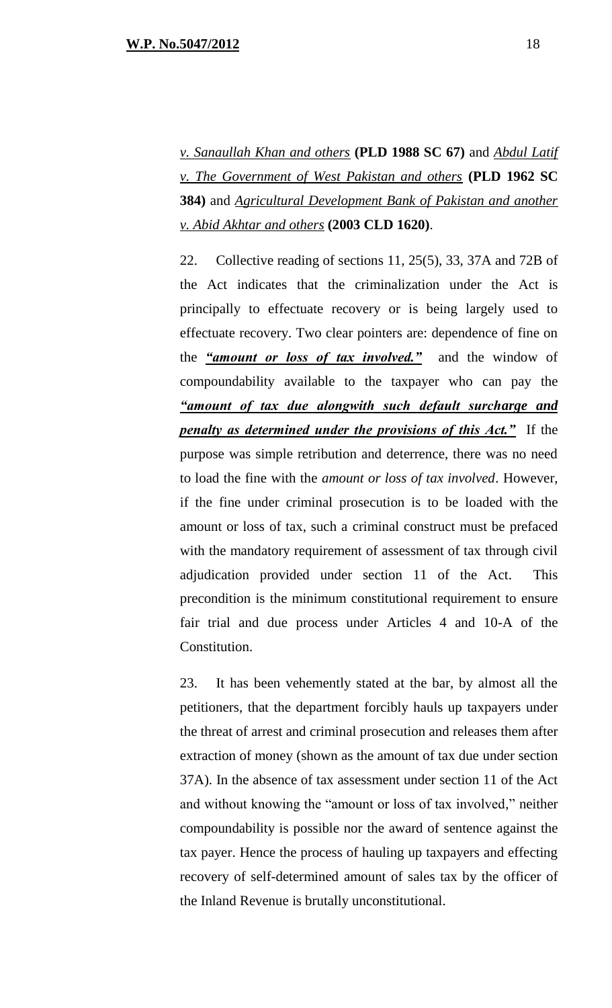*v. Sanaullah Khan and others* **(PLD 1988 SC 67)** and *Abdul Latif v. The Government of West Pakistan and others* **(PLD 1962 SC 384)** and *Agricultural Development Bank of Pakistan and another v. Abid Akhtar and others* **(2003 CLD 1620)**.

22. Collective reading of sections 11, 25(5), 33, 37A and 72B of the Act indicates that the criminalization under the Act is principally to effectuate recovery or is being largely used to effectuate recovery. Two clear pointers are: dependence of fine on the *"amount or loss of tax involved."* and the window of compoundability available to the taxpayer who can pay the *"amount of tax due alongwith such default surcharge and penalty as determined under the provisions of this Act."* If the purpose was simple retribution and deterrence, there was no need to load the fine with the *amount or loss of tax involved*. However, if the fine under criminal prosecution is to be loaded with the amount or loss of tax, such a criminal construct must be prefaced with the mandatory requirement of assessment of tax through civil adjudication provided under section 11 of the Act. This precondition is the minimum constitutional requirement to ensure fair trial and due process under Articles 4 and 10-A of the Constitution.

23. It has been vehemently stated at the bar, by almost all the petitioners, that the department forcibly hauls up taxpayers under the threat of arrest and criminal prosecution and releases them after extraction of money (shown as the amount of tax due under section 37A). In the absence of tax assessment under section 11 of the Act and without knowing the "amount or loss of tax involved," neither compoundability is possible nor the award of sentence against the tax payer. Hence the process of hauling up taxpayers and effecting recovery of self-determined amount of sales tax by the officer of the Inland Revenue is brutally unconstitutional.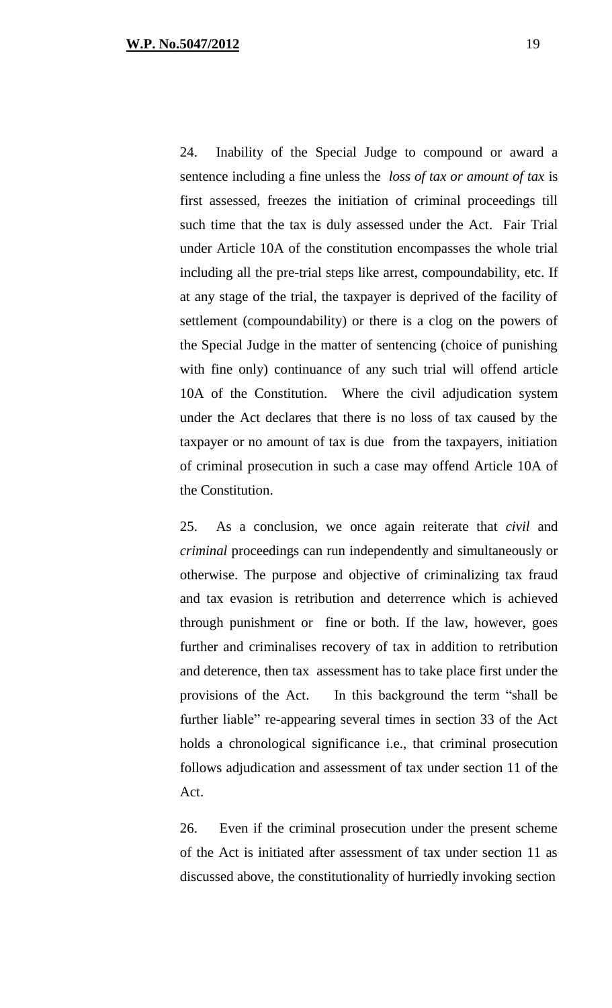24. Inability of the Special Judge to compound or award a sentence including a fine unless the *loss of tax or amount of tax* is first assessed, freezes the initiation of criminal proceedings till such time that the tax is duly assessed under the Act. Fair Trial under Article 10A of the constitution encompasses the whole trial including all the pre-trial steps like arrest, compoundability, etc. If at any stage of the trial, the taxpayer is deprived of the facility of settlement (compoundability) or there is a clog on the powers of the Special Judge in the matter of sentencing (choice of punishing with fine only) continuance of any such trial will offend article 10A of the Constitution. Where the civil adjudication system under the Act declares that there is no loss of tax caused by the taxpayer or no amount of tax is due from the taxpayers, initiation of criminal prosecution in such a case may offend Article 10A of the Constitution.

25. As a conclusion, we once again reiterate that *civil* and *criminal* proceedings can run independently and simultaneously or otherwise. The purpose and objective of criminalizing tax fraud and tax evasion is retribution and deterrence which is achieved through punishment or fine or both. If the law, however, goes further and criminalises recovery of tax in addition to retribution and deterence, then tax assessment has to take place first under the provisions of the Act. In this background the term "shall be further liable" re-appearing several times in section 33 of the Act holds a chronological significance i.e., that criminal prosecution follows adjudication and assessment of tax under section 11 of the Act.

26. Even if the criminal prosecution under the present scheme of the Act is initiated after assessment of tax under section 11 as discussed above, the constitutionality of hurriedly invoking section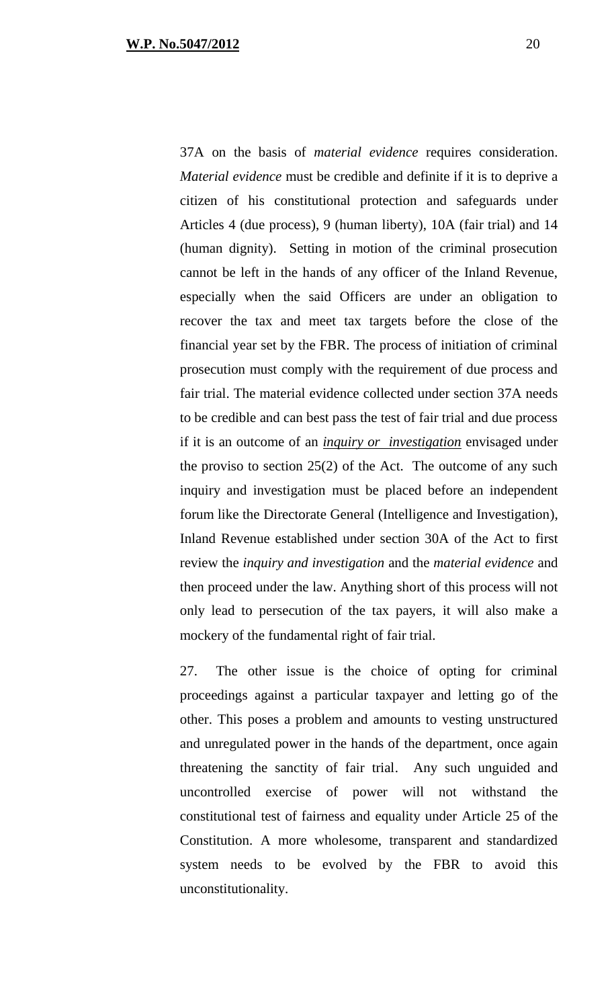37A on the basis of *material evidence* requires consideration. *Material evidence* must be credible and definite if it is to deprive a citizen of his constitutional protection and safeguards under Articles 4 (due process), 9 (human liberty), 10A (fair trial) and 14 (human dignity). Setting in motion of the criminal prosecution cannot be left in the hands of any officer of the Inland Revenue, especially when the said Officers are under an obligation to recover the tax and meet tax targets before the close of the financial year set by the FBR. The process of initiation of criminal prosecution must comply with the requirement of due process and fair trial. The material evidence collected under section 37A needs to be credible and can best pass the test of fair trial and due process if it is an outcome of an *inquiry or investigation* envisaged under the proviso to section  $25(2)$  of the Act. The outcome of any such inquiry and investigation must be placed before an independent forum like the Directorate General (Intelligence and Investigation), Inland Revenue established under section 30A of the Act to first review the *inquiry and investigation* and the *material evidence* and then proceed under the law. Anything short of this process will not only lead to persecution of the tax payers, it will also make a mockery of the fundamental right of fair trial.

27. The other issue is the choice of opting for criminal proceedings against a particular taxpayer and letting go of the other. This poses a problem and amounts to vesting unstructured and unregulated power in the hands of the department, once again threatening the sanctity of fair trial. Any such unguided and uncontrolled exercise of power will not withstand the constitutional test of fairness and equality under Article 25 of the Constitution. A more wholesome, transparent and standardized system needs to be evolved by the FBR to avoid this unconstitutionality.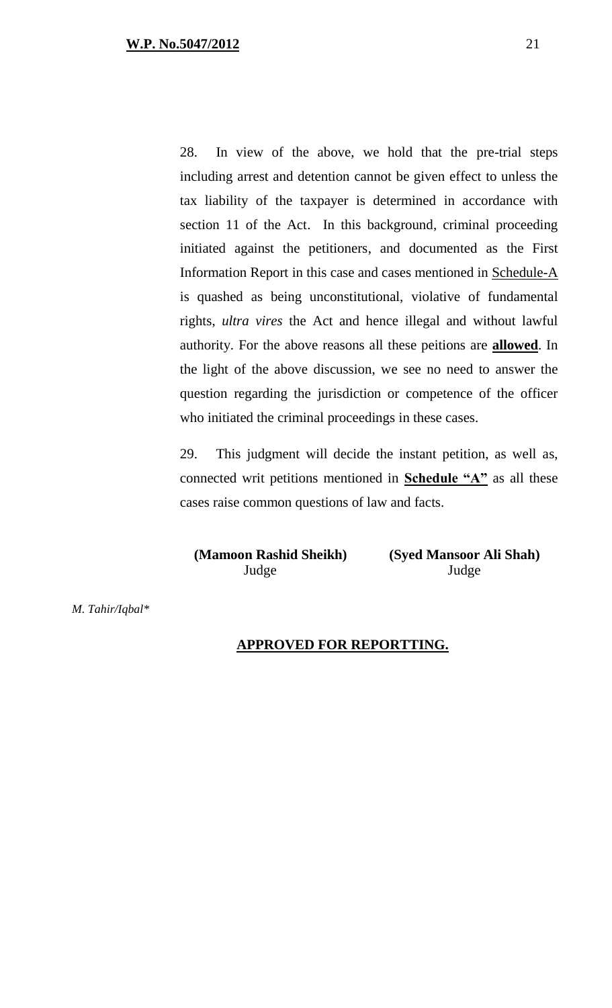28. In view of the above, we hold that the pre-trial steps including arrest and detention cannot be given effect to unless the tax liability of the taxpayer is determined in accordance with section 11 of the Act. In this background, criminal proceeding initiated against the petitioners, and documented as the First Information Report in this case and cases mentioned in Schedule-A is quashed as being unconstitutional, violative of fundamental rights, *ultra vires* the Act and hence illegal and without lawful authority. For the above reasons all these peitions are **allowed**. In the light of the above discussion, we see no need to answer the question regarding the jurisdiction or competence of the officer who initiated the criminal proceedings in these cases.

29. This judgment will decide the instant petition, as well as, connected writ petitions mentioned in **Schedule "A"** as all these cases raise common questions of law and facts.

**(Mamoon Rashid Sheikh) (Syed Mansoor Ali Shah)** Judge Judge

*M. Tahir/Iqbal\** 

#### **APPROVED FOR REPORTTING.**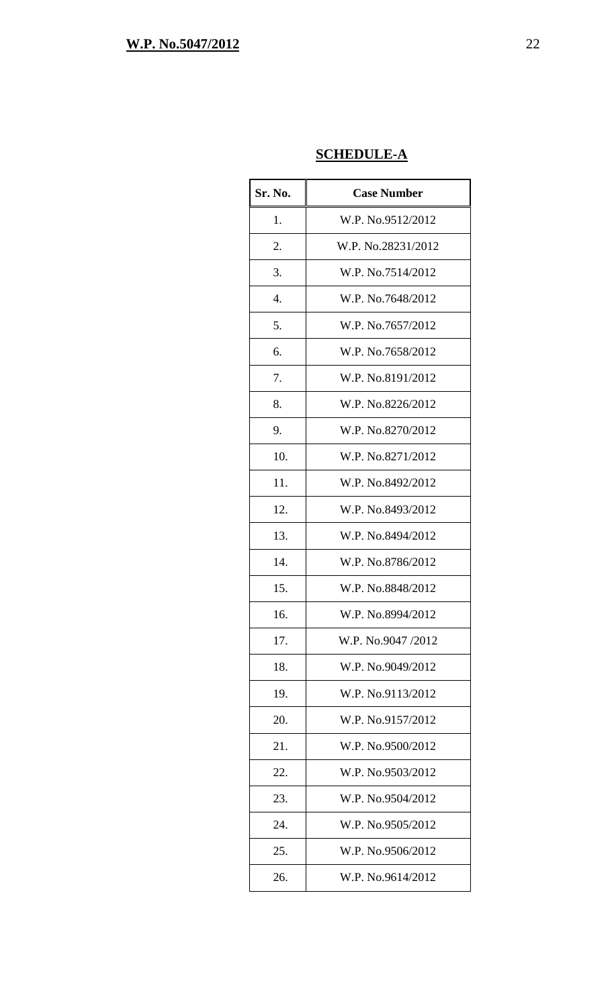## **SCHEDULE-A**

| Sr. No. | <b>Case Number</b> |
|---------|--------------------|
| 1.      | W.P. No.9512/2012  |
| 2.      | W.P. No.28231/2012 |
| 3.      | W.P. No.7514/2012  |
| 4.      | W.P. No.7648/2012  |
| 5.      | W.P. No.7657/2012  |
| 6.      | W.P. No.7658/2012  |
| 7.      | W.P. No.8191/2012  |
| 8.      | W.P. No.8226/2012  |
| 9.      | W.P. No.8270/2012  |
| 10.     | W.P. No.8271/2012  |
| 11.     | W.P. No.8492/2012  |
| 12.     | W.P. No.8493/2012  |
| 13.     | W.P. No.8494/2012  |
| 14.     | W.P. No.8786/2012  |
| 15.     | W.P. No.8848/2012  |
| 16.     | W.P. No.8994/2012  |
| 17.     | W.P. No.9047/2012  |
| 18.     | W.P. No.9049/2012  |
| 19.     | W.P. No.9113/2012  |
| 20.     | W.P. No.9157/2012  |
| 21.     | W.P. No.9500/2012  |
| 22.     | W.P. No.9503/2012  |
| 23.     | W.P. No.9504/2012  |
| 24.     | W.P. No.9505/2012  |
| 25.     | W.P. No.9506/2012  |
| 26.     | W.P. No.9614/2012  |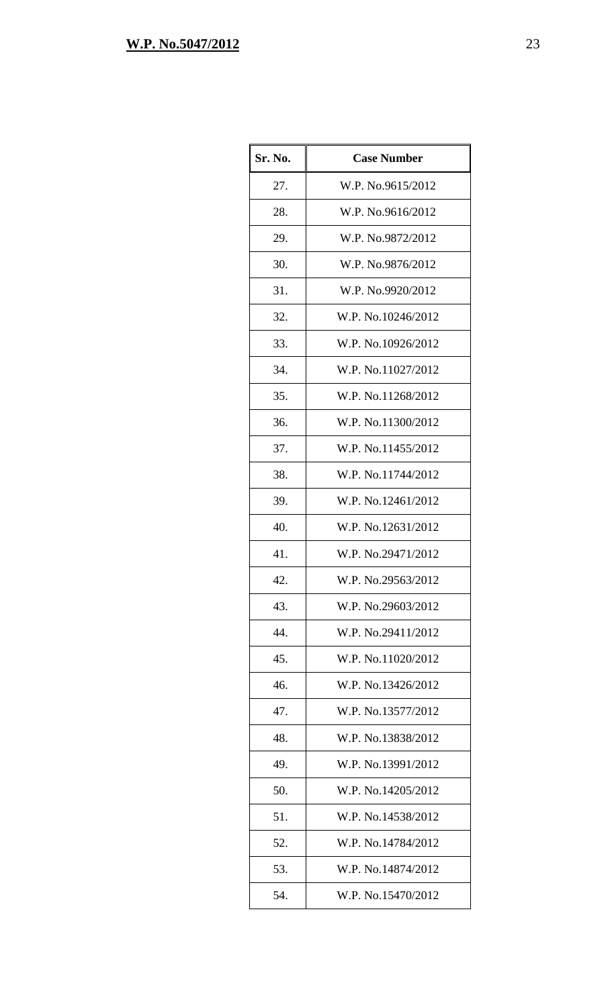| Sr. No. | <b>Case Number</b> |
|---------|--------------------|
| 27.     | W.P. No.9615/2012  |
| 28.     | W.P. No.9616/2012  |
| 29.     | W.P. No.9872/2012  |
| 30.     | W.P. No.9876/2012  |
| 31.     | W.P. No.9920/2012  |
| 32.     | W.P. No.10246/2012 |
| 33.     | W.P. No.10926/2012 |
| 34.     | W.P. No.11027/2012 |
| 35.     | W.P. No.11268/2012 |
| 36.     | W.P. No.11300/2012 |
| 37.     | W.P. No.11455/2012 |
| 38.     | W.P. No.11744/2012 |
| 39.     | W.P. No.12461/2012 |
| 40.     | W.P. No.12631/2012 |
| 41.     | W.P. No.29471/2012 |
| 42.     | W.P. No.29563/2012 |
| 43.     | W.P. No.29603/2012 |
| 44.     | W.P. No.29411/2012 |
| 45.     | W.P. No.11020/2012 |
| 46.     | W.P. No.13426/2012 |
| 47.     | W.P. No.13577/2012 |
| 48.     | W.P. No.13838/2012 |
| 49.     | W.P. No.13991/2012 |
| 50.     | W.P. No.14205/2012 |
| 51.     | W.P. No.14538/2012 |
| 52.     | W.P. No.14784/2012 |
| 53.     | W.P. No.14874/2012 |
| 54.     | W.P. No.15470/2012 |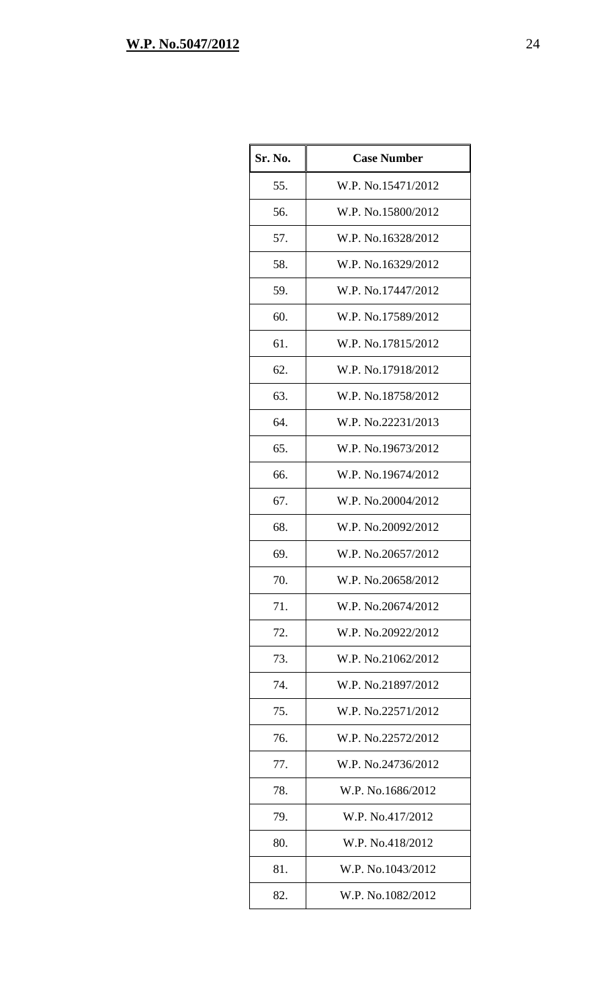| Sr. No. | <b>Case Number</b> |
|---------|--------------------|
| 55.     | W.P. No.15471/2012 |
| 56.     | W.P. No.15800/2012 |
| 57.     | W.P. No.16328/2012 |
| 58.     | W.P. No.16329/2012 |
| 59.     | W.P. No.17447/2012 |
| 60.     | W.P. No.17589/2012 |
| 61.     | W.P. No.17815/2012 |
| 62.     | W.P. No.17918/2012 |
| 63.     | W.P. No.18758/2012 |
| 64.     | W.P. No.22231/2013 |
| 65.     | W.P. No.19673/2012 |
| 66.     | W.P. No.19674/2012 |
| 67.     | W.P. No.20004/2012 |
| 68.     | W.P. No.20092/2012 |
| 69.     | W.P. No.20657/2012 |
| 70.     | W.P. No.20658/2012 |
| 71.     | W.P. No.20674/2012 |
| 72.     | W.P. No.20922/2012 |
| 73.     | W.P. No.21062/2012 |
| 74.     | W.P. No.21897/2012 |
| 75.     | W.P. No.22571/2012 |
| 76.     | W.P. No.22572/2012 |
| 77.     | W.P. No.24736/2012 |
| 78.     | W.P. No.1686/2012  |
| 79.     | W.P. No.417/2012   |
| 80.     | W.P. No.418/2012   |
| 81.     | W.P. No.1043/2012  |
| 82.     | W.P. No.1082/2012  |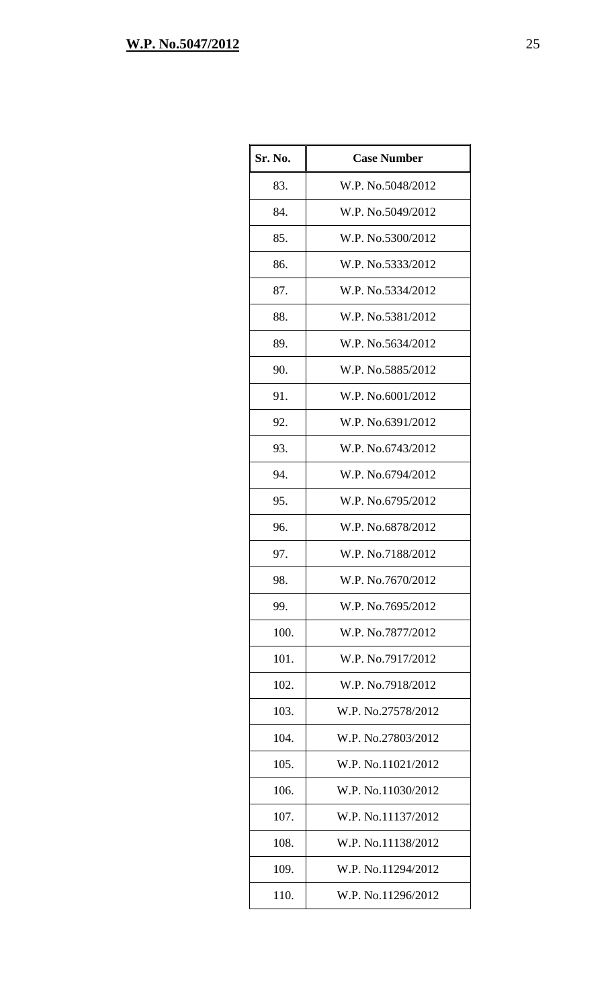| Sr. No. | <b>Case Number</b> |
|---------|--------------------|
| 83.     | W.P. No.5048/2012  |
| 84.     | W.P. No.5049/2012  |
| 85.     | W.P. No.5300/2012  |
| 86.     | W.P. No.5333/2012  |
| 87.     | W.P. No.5334/2012  |
| 88.     | W.P. No.5381/2012  |
| 89.     | W.P. No.5634/2012  |
| 90.     | W.P. No.5885/2012  |
| 91.     | W.P. No.6001/2012  |
| 92.     | W.P. No.6391/2012  |
| 93.     | W.P. No.6743/2012  |
| 94.     | W.P. No.6794/2012  |
| 95.     | W.P. No.6795/2012  |
| 96.     | W.P. No.6878/2012  |
| 97.     | W.P. No.7188/2012  |
| 98.     | W.P. No.7670/2012  |
| 99.     | W.P. No.7695/2012  |
| 100.    | W.P. No.7877/2012  |
| 101.    | W.P. No.7917/2012  |
| 102.    | W.P. No.7918/2012  |
| 103.    | W.P. No.27578/2012 |
| 104.    | W.P. No.27803/2012 |
| 105.    | W.P. No.11021/2012 |
| 106.    | W.P. No.11030/2012 |
| 107.    | W.P. No.11137/2012 |
| 108.    | W.P. No.11138/2012 |
| 109.    | W.P. No.11294/2012 |
| 110.    | W.P. No.11296/2012 |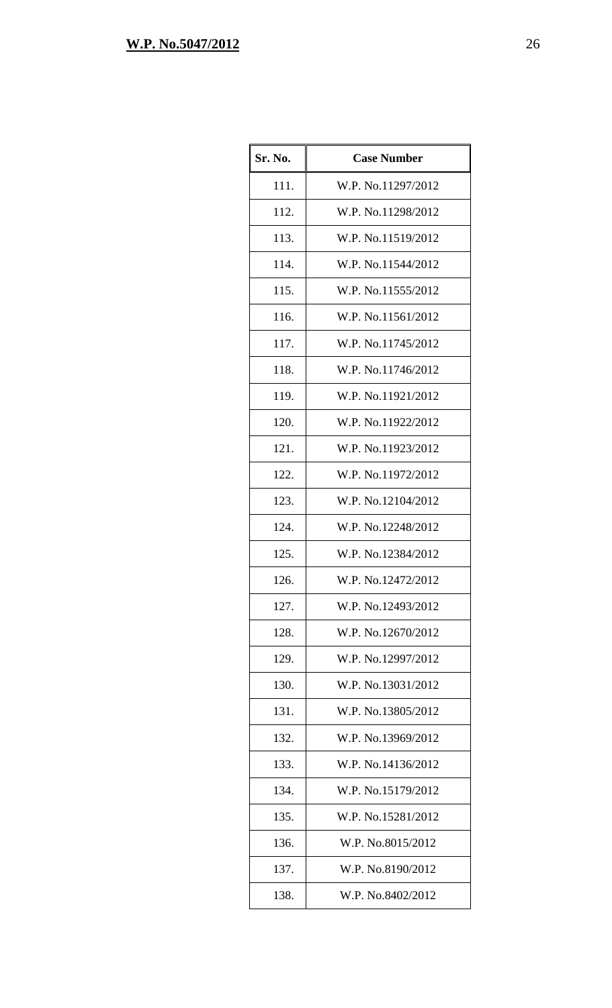| Sr. No. | <b>Case Number</b> |
|---------|--------------------|
| 111.    | W.P. No.11297/2012 |
| 112.    | W.P. No.11298/2012 |
| 113.    | W.P. No.11519/2012 |
| 114.    | W.P. No.11544/2012 |
| 115.    | W.P. No.11555/2012 |
| 116.    | W.P. No.11561/2012 |
| 117.    | W.P. No.11745/2012 |
| 118.    | W.P. No.11746/2012 |
| 119.    | W.P. No.11921/2012 |
| 120.    | W.P. No.11922/2012 |
| 121.    | W.P. No.11923/2012 |
| 122.    | W.P. No.11972/2012 |
| 123.    | W.P. No.12104/2012 |
| 124.    | W.P. No.12248/2012 |
| 125.    | W.P. No.12384/2012 |
| 126.    | W.P. No.12472/2012 |
| 127.    | W.P. No.12493/2012 |
| 128.    | W.P. No.12670/2012 |
| 129.    | W.P. No.12997/2012 |
| 130.    | W.P. No.13031/2012 |
| 131.    | W.P. No.13805/2012 |
| 132.    | W.P. No.13969/2012 |
| 133.    | W.P. No.14136/2012 |
| 134.    | W.P. No.15179/2012 |
| 135.    | W.P. No.15281/2012 |
| 136.    | W.P. No.8015/2012  |
| 137.    | W.P. No.8190/2012  |
| 138.    | W.P. No.8402/2012  |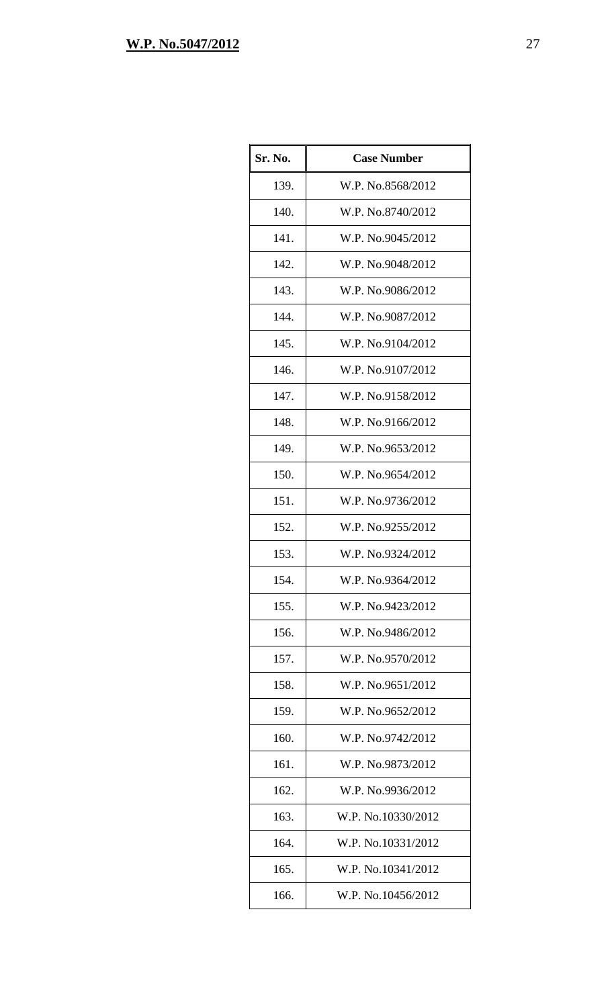| Sr. No. | <b>Case Number</b> |
|---------|--------------------|
| 139.    | W.P. No.8568/2012  |
| 140.    | W.P. No.8740/2012  |
| 141.    | W.P. No.9045/2012  |
| 142.    | W.P. No.9048/2012  |
| 143.    | W.P. No.9086/2012  |
| 144.    | W.P. No.9087/2012  |
| 145.    | W.P. No.9104/2012  |
| 146.    | W.P. No.9107/2012  |
| 147.    | W.P. No.9158/2012  |
| 148.    | W.P. No.9166/2012  |
| 149.    | W.P. No.9653/2012  |
| 150.    | W.P. No.9654/2012  |
| 151.    | W.P. No.9736/2012  |
| 152.    | W.P. No.9255/2012  |
| 153.    | W.P. No.9324/2012  |
| 154.    | W.P. No.9364/2012  |
| 155.    | W.P. No.9423/2012  |
| 156.    | W.P. No.9486/2012  |
| 157.    | W.P. No.9570/2012  |
| 158.    | W.P. No.9651/2012  |
| 159.    | W.P. No.9652/2012  |
| 160.    | W.P. No.9742/2012  |
| 161.    | W.P. No.9873/2012  |
| 162.    | W.P. No.9936/2012  |
| 163.    | W.P. No.10330/2012 |
| 164.    | W.P. No.10331/2012 |
| 165.    | W.P. No.10341/2012 |
| 166.    | W.P. No.10456/2012 |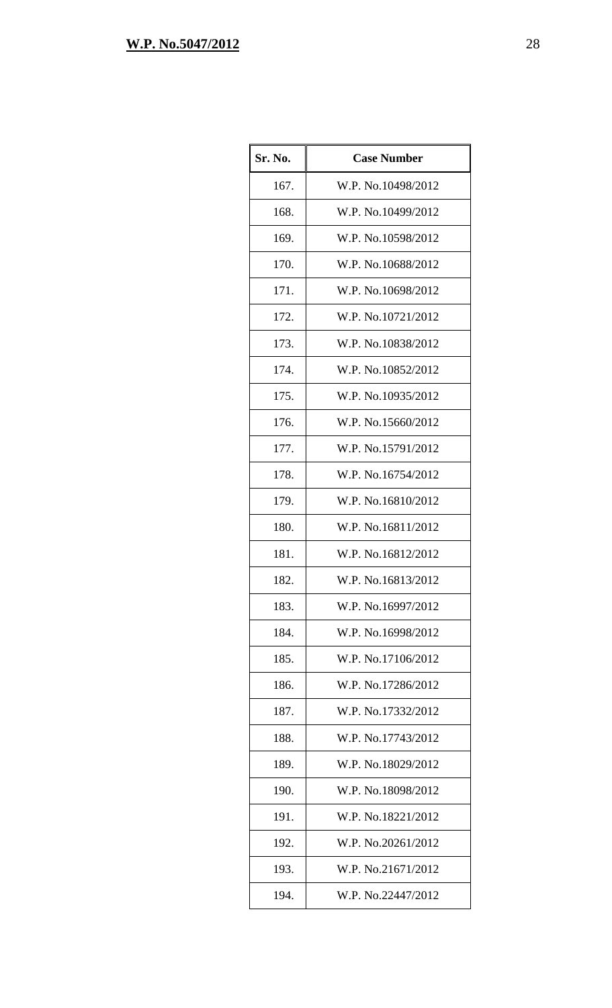| Sr. No. | <b>Case Number</b> |
|---------|--------------------|
| 167.    | W.P. No.10498/2012 |
| 168.    | W.P. No.10499/2012 |
| 169.    | W.P. No.10598/2012 |
| 170.    | W.P. No.10688/2012 |
| 171.    | W.P. No.10698/2012 |
| 172.    | W.P. No.10721/2012 |
| 173.    | W.P. No.10838/2012 |
| 174.    | W.P. No.10852/2012 |
| 175.    | W.P. No.10935/2012 |
| 176.    | W.P. No.15660/2012 |
| 177.    | W.P. No.15791/2012 |
| 178.    | W.P. No.16754/2012 |
| 179.    | W.P. No.16810/2012 |
| 180.    | W.P. No.16811/2012 |
| 181.    | W.P. No.16812/2012 |
| 182.    | W.P. No.16813/2012 |
| 183.    | W.P. No.16997/2012 |
| 184.    | W.P. No.16998/2012 |
| 185.    | W.P. No.17106/2012 |
| 186.    | W.P. No.17286/2012 |
| 187.    | W.P. No.17332/2012 |
| 188.    | W.P. No.17743/2012 |
| 189.    | W.P. No.18029/2012 |
| 190.    | W.P. No.18098/2012 |
| 191.    | W.P. No.18221/2012 |
| 192.    | W.P. No.20261/2012 |
| 193.    | W.P. No.21671/2012 |
| 194.    | W.P. No.22447/2012 |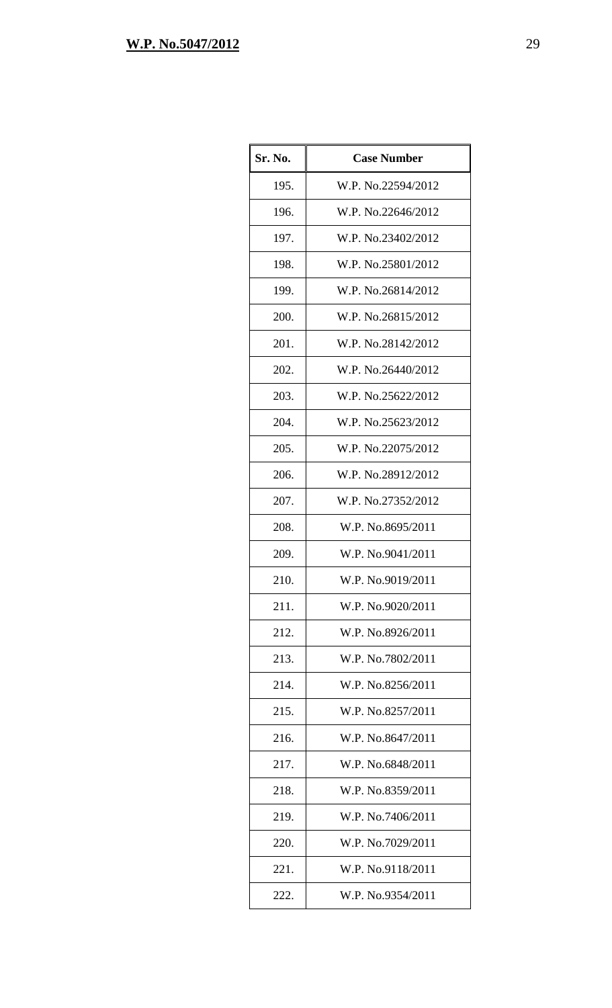| Sr. No. | <b>Case Number</b> |
|---------|--------------------|
| 195.    | W.P. No.22594/2012 |
| 196.    | W.P. No.22646/2012 |
| 197.    | W.P. No.23402/2012 |
| 198.    | W.P. No.25801/2012 |
| 199.    | W.P. No.26814/2012 |
| 200.    | W.P. No.26815/2012 |
| 201.    | W.P. No.28142/2012 |
| 202.    | W.P. No.26440/2012 |
| 203.    | W.P. No.25622/2012 |
| 204.    | W.P. No.25623/2012 |
| 205.    | W.P. No.22075/2012 |
| 206.    | W.P. No.28912/2012 |
| 207.    | W.P. No.27352/2012 |
| 208.    | W.P. No.8695/2011  |
| 209.    | W.P. No.9041/2011  |
| 210.    | W.P. No.9019/2011  |
| 211.    | W.P. No.9020/2011  |
| 212.    | W.P. No.8926/2011  |
| 213.    | W.P. No.7802/2011  |
| 214.    | W.P. No.8256/2011  |
| 215.    | W.P. No.8257/2011  |
| 216.    | W.P. No.8647/2011  |
| 217.    | W.P. No.6848/2011  |
| 218.    | W.P. No.8359/2011  |
| 219.    | W.P. No.7406/2011  |
| 220.    | W.P. No.7029/2011  |
| 221.    | W.P. No.9118/2011  |
| 222.    | W.P. No.9354/2011  |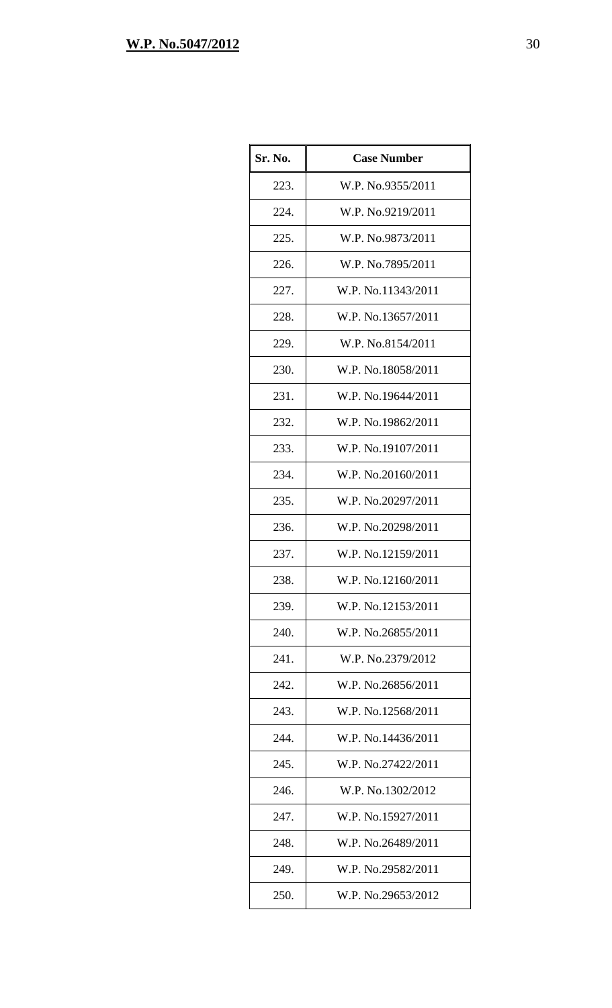| Sr. No. | <b>Case Number</b> |
|---------|--------------------|
| 223.    | W.P. No.9355/2011  |
| 224.    | W.P. No.9219/2011  |
| 225.    | W.P. No.9873/2011  |
| 226.    | W.P. No.7895/2011  |
| 227.    | W.P. No.11343/2011 |
| 228.    | W.P. No.13657/2011 |
| 229.    | W.P. No.8154/2011  |
| 230.    | W.P. No.18058/2011 |
| 231.    | W.P. No.19644/2011 |
| 232.    | W.P. No.19862/2011 |
| 233.    | W.P. No.19107/2011 |
| 234.    | W.P. No.20160/2011 |
| 235.    | W.P. No.20297/2011 |
| 236.    | W.P. No.20298/2011 |
| 237.    | W.P. No.12159/2011 |
| 238.    | W.P. No.12160/2011 |
| 239.    | W.P. No.12153/2011 |
| 240.    | W.P. No.26855/2011 |
| 241.    | W.P. No.2379/2012  |
| 242.    | W.P. No.26856/2011 |
| 243.    | W.P. No.12568/2011 |
| 244.    | W.P. No.14436/2011 |
| 245.    | W.P. No.27422/2011 |
| 246.    | W.P. No.1302/2012  |
| 247.    | W.P. No.15927/2011 |
| 248.    | W.P. No.26489/2011 |
| 249.    | W.P. No.29582/2011 |
| 250.    | W.P. No.29653/2012 |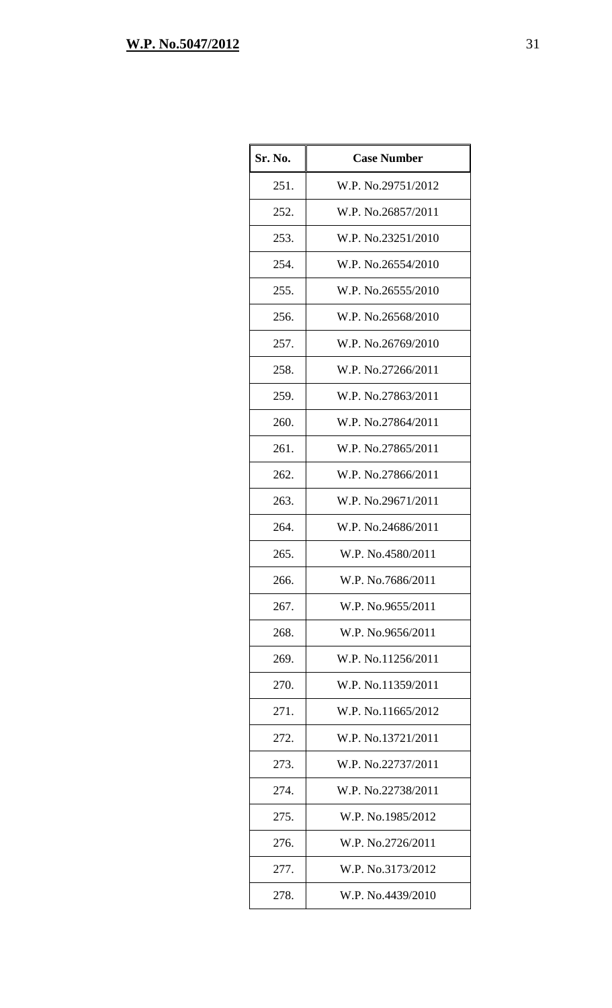| Sr. No. | <b>Case Number</b> |
|---------|--------------------|
| 251.    | W.P. No.29751/2012 |
| 252.    | W.P. No.26857/2011 |
| 253.    | W.P. No.23251/2010 |
| 254.    | W.P. No.26554/2010 |
| 255.    | W.P. No.26555/2010 |
| 256.    | W.P. No.26568/2010 |
| 257.    | W.P. No.26769/2010 |
| 258.    | W.P. No.27266/2011 |
| 259.    | W.P. No.27863/2011 |
| 260.    | W.P. No.27864/2011 |
| 261.    | W.P. No.27865/2011 |
| 262.    | W.P. No.27866/2011 |
| 263.    | W.P. No.29671/2011 |
| 264.    | W.P. No.24686/2011 |
| 265.    | W.P. No.4580/2011  |
| 266.    | W.P. No.7686/2011  |
| 267.    | W.P. No.9655/2011  |
| 268.    | W.P. No.9656/2011  |
| 269.    | W.P. No.11256/2011 |
| 270.    | W.P. No.11359/2011 |
| 271.    | W.P. No.11665/2012 |
| 272.    | W.P. No.13721/2011 |
| 273.    | W.P. No.22737/2011 |
| 274.    | W.P. No.22738/2011 |
| 275.    | W.P. No.1985/2012  |
| 276.    | W.P. No.2726/2011  |
| 277.    | W.P. No.3173/2012  |
| 278.    | W.P. No.4439/2010  |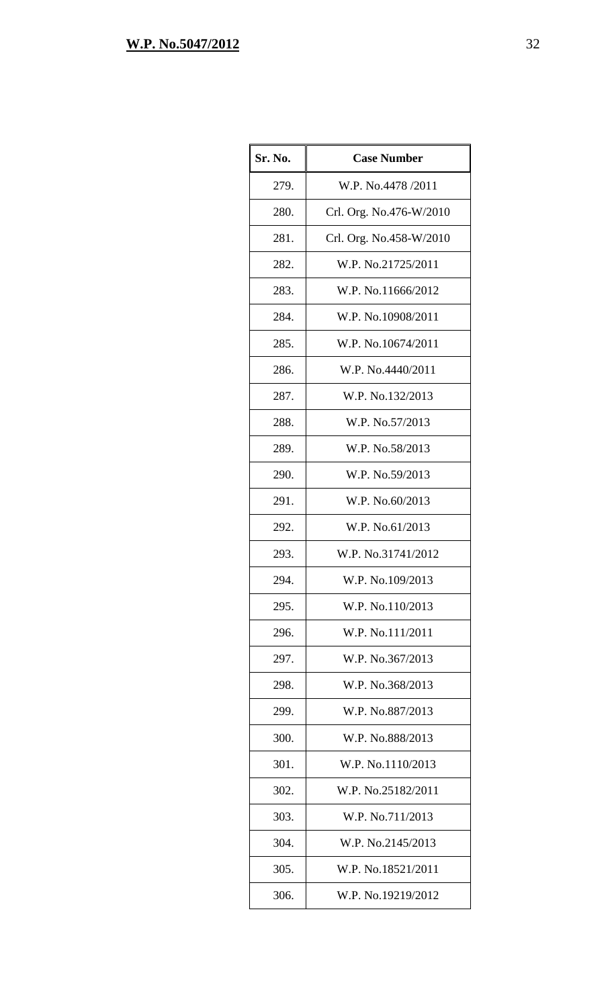| Sr. No. | <b>Case Number</b>      |
|---------|-------------------------|
| 279.    | W.P. No.4478/2011       |
| 280.    | Crl. Org. No.476-W/2010 |
| 281.    | Crl. Org. No.458-W/2010 |
| 282.    | W.P. No.21725/2011      |
| 283.    | W.P. No.11666/2012      |
| 284.    | W.P. No.10908/2011      |
| 285.    | W.P. No.10674/2011      |
| 286.    | W.P. No.4440/2011       |
| 287.    | W.P. No.132/2013        |
| 288.    | W.P. No.57/2013         |
| 289.    | W.P. No.58/2013         |
| 290.    | W.P. No.59/2013         |
| 291.    | W.P. No.60/2013         |
| 292.    | W.P. No.61/2013         |
| 293.    | W.P. No.31741/2012      |
| 294.    | W.P. No.109/2013        |
| 295.    | W.P. No.110/2013        |
| 296.    | W.P. No.111/2011        |
| 297.    | W.P. No.367/2013        |
| 298.    | W.P. No.368/2013        |
| 299.    | W.P. No.887/2013        |
| 300.    | W.P. No.888/2013        |
| 301.    | W.P. No.1110/2013       |
| 302.    | W.P. No.25182/2011      |
| 303.    | W.P. No.711/2013        |
| 304.    | W.P. No.2145/2013       |
| 305.    | W.P. No.18521/2011      |
| 306.    | W.P. No.19219/2012      |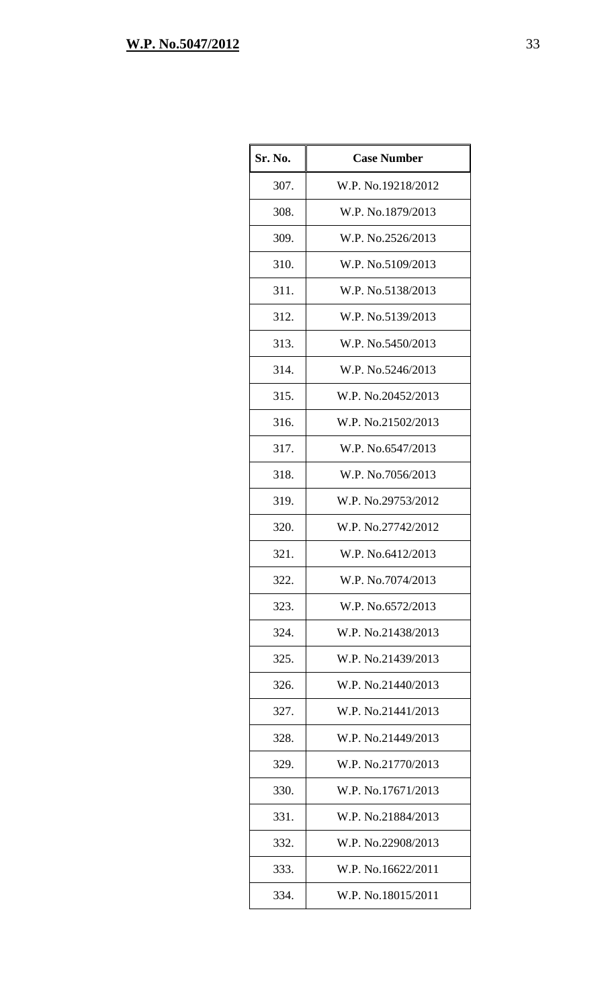| Sr. No. | <b>Case Number</b> |
|---------|--------------------|
| 307.    | W.P. No.19218/2012 |
| 308.    | W.P. No.1879/2013  |
| 309.    | W.P. No.2526/2013  |
| 310.    | W.P. No.5109/2013  |
| 311.    | W.P. No.5138/2013  |
| 312.    | W.P. No.5139/2013  |
| 313.    | W.P. No.5450/2013  |
| 314.    | W.P. No.5246/2013  |
| 315.    | W.P. No.20452/2013 |
| 316.    | W.P. No.21502/2013 |
| 317.    | W.P. No.6547/2013  |
| 318.    | W.P. No.7056/2013  |
| 319.    | W.P. No.29753/2012 |
| 320.    | W.P. No.27742/2012 |
| 321.    | W.P. No.6412/2013  |
| 322.    | W.P. No.7074/2013  |
| 323.    | W.P. No.6572/2013  |
| 324.    | W.P. No.21438/2013 |
| 325.    | W.P. No.21439/2013 |
| 326.    | W.P. No.21440/2013 |
| 327.    | W.P. No.21441/2013 |
| 328.    | W.P. No.21449/2013 |
| 329.    | W.P. No.21770/2013 |
| 330.    | W.P. No.17671/2013 |
| 331.    | W.P. No.21884/2013 |
| 332.    | W.P. No.22908/2013 |
| 333.    | W.P. No.16622/2011 |
| 334.    | W.P. No.18015/2011 |